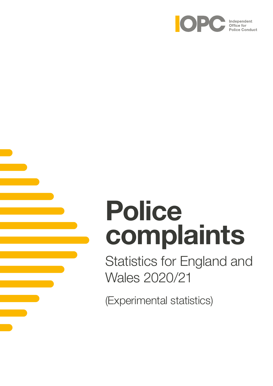



Statistics for England and Wales 2020/21

(Experimental statistics)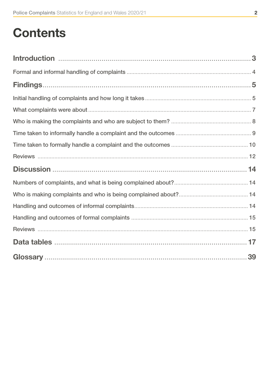# **Contents**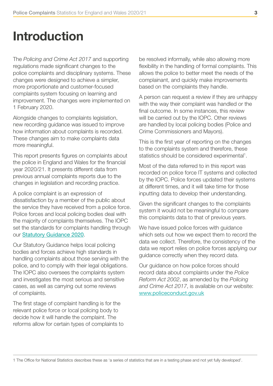# <span id="page-2-0"></span>Introduction

The *Policing and Crime Act 2017* and supporting regulations made significant changes to the police complaints and disciplinary systems. These changes were designed to achieve a simpler, more proportionate and customer-focused complaints system focusing on learning and improvement. The changes were implemented on 1 February 2020.

Alongside changes to complaints legislation, new recording guidance was issued to improve how information about complaints is recorded. These changes aim to make complaints data more meaningful.

This report presents figures on complaints about the police in England and Wales for the financial year 2020/21. It presents different data from previous annual complaints reports due to the changes in legislation and recording practice.

A police complaint is an expression of dissatisfaction by a member of the public about the service they have received from a police force. Police forces and local policing bodies deal with the majority of complaints themselves. The IOPC set the standards for complaints handling through our [Statutory Guidance](https://www.policeconduct.gov.uk/complaints-reviews-and-appeals/statutory-guidance) 2020.

Our Statutory Guidance helps local policing bodies and forces achieve high standards in handling complaints about those serving with the police, and to comply with their legal obligations. The IOPC also oversees the complaints system and investigates the most serious and sensitive cases, as well as carrying out some reviews of complaints.

The first stage of complaint handling is for the relevant police force or local policing body to decide how it will handle the complaint. The reforms allow for certain types of complaints to

be resolved informally, while also allowing more flexibility in the handling of formal complaints. This allows the police to better meet the needs of the complainant, and quickly make improvements based on the complaints they handle.

A person can request a review if they are unhappy with the way their complaint was handled or the final outcome. In some instances, this review will be carried out by the IOPC. Other reviews are handled by local policing bodies (Police and Crime Commissioners and Mayors).

This is the first year of reporting on the changes to the complaints system and therefore, these statistics should be considered experimental<sup>1</sup>.

Most of the data referred to in this report was recorded on police force IT systems and collected by the IOPC. Police forces updated their systems at different times, and it will take time for those inputting data to develop their understanding.

Given the significant changes to the complaints system it would not be meaningful to compare this complaints data to that of previous years.

We have issued police forces with guidance which sets out how we expect them to record the data we collect. Therefore, the consistency of the data we report relies on police forces applying our guidance correctly when they record data.

Our guidance on how police forces should record data about complaints under the *Police Reform Act 2002*, as amended by the *Policing and Crime Act 2017*, is available on our website: [www.policeconduct.gov.uk](http://www.policeconduct.gov.uk/investigations/investigation-summaries-and-learning-recommendations)

1 The Office for National Statistics describes these as 'a series of statistics that are in a testing phase and not yet fully developed'.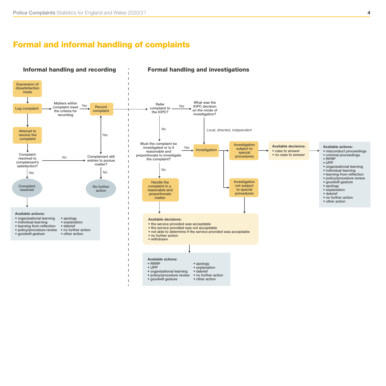# <span id="page-3-0"></span>Formal and informal handling of complaints

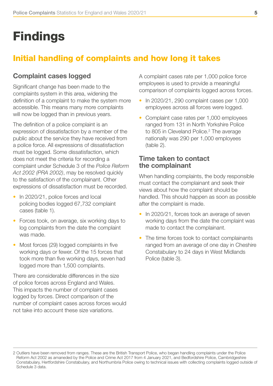# <span id="page-4-0"></span>Findings

# Initial handling of complaints and how long it takes

#### Complaint cases logged

Significant change has been made to the complaints system in this area, widening the definition of a complaint to make the system more accessible. This means many more complaints will now be logged than in previous years.

The definition of a police complaint is an expression of dissatisfaction by a member of the public about the service they have received from a police force. All expressions of dissatisfaction must be logged. Some dissatisfaction, which does not meet the criteria for recording a complaint under Schedule 3 of the *Police Reform Act 2002 (PRA 2002)*, may be resolved quickly to the satisfaction of the complainant. Other expressions of dissatisfaction must be recorded.

- In 2020/21, police forces and local policing bodies logged 67,732 complaint cases (table 1).
- Forces took, on average, six working days to log complaints from the date the complaint was made.
- Most forces (29) logged complaints in five working days or fewer. Of the 15 forces that took more than five working days, seven had logged more than 1,500 complaints.

There are considerable differences in the size of police forces across England and Wales. This impacts the number of complaint cases logged by forces. Direct comparison of the number of complaint cases across forces would not take into account these size variations.

A complaint cases rate per 1,000 police force employees is used to provide a meaningful comparison of complaints logged across forces.

- In 2020/21, 290 complaint cases per 1,000 employees across all forces were logged.
- Complaint case rates per 1,000 employees ranged from 131 in North Yorkshire Police to 805 in Cleveland Police.<sup>2</sup> The average nationally was 290 per 1,000 employees (table 2).

#### Time taken to contact the complainant

When handling complaints, the body responsible must contact the complainant and seek their views about how the complaint should be handled. This should happen as soon as possible after the complaint is made.

- In 2020/21, forces took an average of seven working days from the date the complaint was made to contact the complainant.
- The time forces took to contact complainants ranged from an average of one day in Cheshire Constabulary to 24 days in West Midlands Police (table 3).

<sup>2</sup> Outliers have been removed from ranges. These are the British Transport Police, who began handling complaints under the Police Reform Act 2002 as amaneded by the Police and Crime Act 2017 from 4 January 2021, and Bedfordshire Police, Cambridgeshire Constabulary, Hertfordshire Constabulary, and Northumbria Police owing to technical issues with collecting complaints logged outside of Schedule 3 data.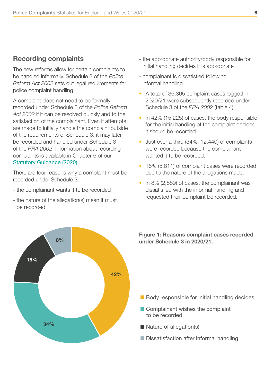#### Recording complaints

The new reforms allow for certain complaints to be handled informally. Schedule 3 of the *Police Reform Act 2002* sets out legal requirements for police complaint handling.

A complaint does not need to be formally recorded under Schedule 3 of the *Police Reform Act 2002* if it can be resolved quickly and to the satisfaction of the complainant. Even if attempts are made to initially handle the complaint outside of the requirements of Schedule 3, it may later be recorded and handled under Schedule 3 of the *PRA 2002*. Information about recording complaints is available in Chapter 6 of our [Statutory Guidance \(2020](https://www.policeconduct.gov.uk/sites/default/files/Documents/statutoryguidance/2020_statutory_guidance_english.pdf)).

There are four reasons why a complaint must be recorded under Schedule 3:

- the complainant wants it to be recorded
- the nature of the allegation(s) mean it must be recorded
- the appropriate authority/body responsible for initial handling decides it is appropriate
- complainant is dissatisfied following informal handling
- A total of 36,365 complaint cases logged in 2020/21 were subsequently recorded under Schedule 3 of the *PRA 200*2 (table 4).
- In 42% (15,225) of cases, the body responsible for the initial handling of the complaint decided it should be recorded.
- Just over a third (34%, 12,440) of complaints were recorded because the complainant wanted it to be recorded.
- 16% (5,811) of complaint cases were recorded due to the nature of the allegations made.
- In 8% (2,889) of cases, the complainant was dissatisfied with the informal handling and requested their complaint be recorded.



Figure 1: Reasons complaint cases recorded under Schedule 3 in 2020/21.

- Body responsible for initial handling decides
- Complainant wishes the complaint to be recorded
- Nature of allegation(s)
- Dissatisfaction after informal handling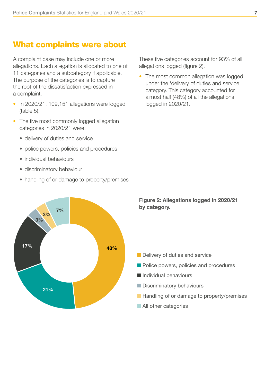# <span id="page-6-0"></span>What complaints were about

A complaint case may include one or more allegations. Each allegation is allocated to one of 11 categories and a subcategory if applicable. The purpose of the categories is to capture the root of the dissatisfaction expressed in a complaint.

- In 2020/21, 109,151 allegations were logged (table 5).
- The five most commonly logged allegation categories in 2020/21 were:
	- delivery of duties and service
	- police powers, policies and procedures
	- individual behaviours
	- discriminatory behaviour
	- handling of or damage to property/premises

These five categories account for 93% of all allegations logged (figure 2).

• The most common allegation was logged under the 'delivery of duties and service' category. This category accounted for almost half (48%) of all the allegations logged in 2020/21.





■ Police powers, policies and procedures

- Individual behaviours
- Discriminatory behaviours
- Handling of or damage to property/premises
- All other categories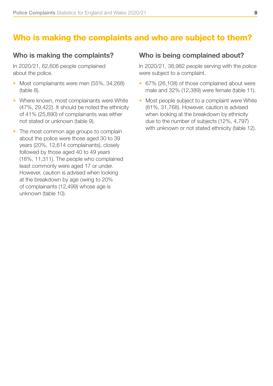# <span id="page-7-0"></span>Who is making the complaints and who are subject to them?

### Who is making the complaints?

In 2020/21, 62,606 people complained about the police.

- Most complainants were men (55%, 34,268) (table 8).
- Where known, most complainants were White (47%, 29,422). It should be noted the ethnicity of 41% (25,890) of complainants was either not stated or unknown (table 9).
- The most common age groups to complain about the police were those aged 30 to 39 years (20%, 12,614 complainants), closely followed by those aged 40 to 49 years (18%, 11,311). The people who complained least commonly were aged 17 or under. However, caution is advised when looking at the breakdown by age owing to 20% of complainants (12,499) whose age is unknown (table 10).

#### Who is being complained about?

In 2020/21, 38,982 people serving with the police were subject to a complaint.

- 67% (26,108) of those complained about were male and 32% (12,389) were female (table 11).
- Most people subject to a complaint were White (81%, 31,768). However, caution is advised when looking at the breakdown by ethnicity due to the number of subjects (12%, 4,797) with unknown or not stated ethnicity (table 12).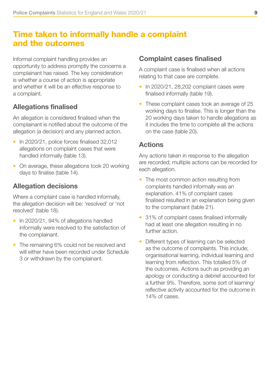# <span id="page-8-0"></span>Time taken to informally handle a complaint and the outcomes

Informal complaint handling provides an opportunity to address promptly the concerns a complainant has raised. The key consideration is whether a course of action is appropriate and whether it will be an effective response to a complaint.

## Allegations finalised

An allegation is considered finalised when the complainant is notified about the outcome of the allegation (a decision) and any planned action.

- In 2020/21, police forces finalised 32,012 allegations on complaint cases that were handled informally (table 13).
- On average, these allegations took 20 working days to finalise (table 14).

## Allegation decisions

Where a complaint case is handled informally, the allegation decision will be: 'resolved' or 'not resolved' (table 18).

- In 2020/21, 94% of allegations handled informally were resolved to the satisfaction of the complainant.
- The remaining 6% could not be resolved and will either have been recorded under Schedule 3 or withdrawn by the complainant.

### Complaint cases finalised

A complaint case is finalised when all actions relating to that case are complete.

- In 2020/21, 28,202 complaint cases were finalised informally (table 19).
- These complaint cases took an average of 25 working days to finalise. This is longer than the 20 working days taken to handle allegations as it includes the time to complete all the actions on the case (table 20).

### Actions

Any actions taken in response to the allegation are recorded; multiple actions can be recorded for each allegation.

- The most common action resulting from complaints handled informally was an explanation. 41% of complaint cases finalised resulted in an explanation being given to the complainant (table 21).
- 31% of complaint cases finalised informally had at least one allegation resulting in no further action.
- Different types of learning can be selected as the outcome of complaints. This include; organisational learning, individual learning and learning from reflection. This totalled 5% of the outcomes. Actions such as providing an apology or conducting a debrief accounted for a further 9%. Therefore, some sort of learning/ reflective activity accounted for the outcome in 14% of cases.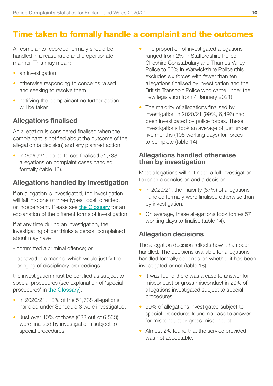# <span id="page-9-0"></span>Time taken to formally handle a complaint and the outcomes

All complaints recorded formally should be handled in a reasonable and proportionate manner. This may mean:

- an investigation
- otherwise responding to concerns raised and seeking to resolve them
- notifying the complainant no further action will be taken

## Allegations finalised

An allegation is considered finalised when the complainant is notified about the outcome of the allegation (a decision) and any planned action.

• In 2020/21, police forces finalised 51,738 allegations on complaint cases handled formally (table 13).

## Allegations handled by investigation

If an allegation is investigated, the investigation will fall into one of three types: local, directed, or independent. Please see [the Glossary](#page-38-0) for an explanation of the different forms of investigation.

If at any time during an investigation, the investigating officer thinks a person complained about may have

- committed a criminal offence; or
- behaved in a manner which would justify the bringing of disciplinary proceedings

the investigation must be certified as subject to special procedures (see explanation of 'special procedures' in [the Glossary](#page-39-0)).

- In 2020/21, 13% of the 51,738 allegations handled under Schedule 3 were investigated.
- Just over 10% of those (688 out of 6,533) were finalised by investigations subject to special procedures.
- The proportion of investigated allegations ranged from 2% in Staffordshire Police, Cheshire Constabulary and Thames Valley Police to 50% in Warwickshire Police (this excludes six forces with fewer than ten allegations finalised by investigation and the British Transport Police who came under the new legislation from 4 January 2021).
- The majority of allegations finalised by investigation in 2020/21 (99%, 6,496) had been investigated by police forces. These investigations took an average of just under five months (106 working days) for forces to complete (table 14).

#### Allegations handled otherwise than by investigation

Most allegations will not need a full investigation to reach a conclusion and a decision.

- In 2020/21, the majority (87%) of allegations handled formally were finalised otherwise than by investigation.
- On average, these allegations took forces 57 working days to finalise (table 14).

## Allegation decisions

The allegation decision reflects how it has been handled. The decisions available for allegations handled formally depends on whether it has been investigated or not (table 18).

- It was found there was a case to answer for misconduct or gross misconduct in 20% of allegations investigated subject to special procedures.
- 59% of allegations investigated subject to special procedures found no case to answer for misconduct or gross misconduct.
- Almost 2% found that the service provided was not acceptable.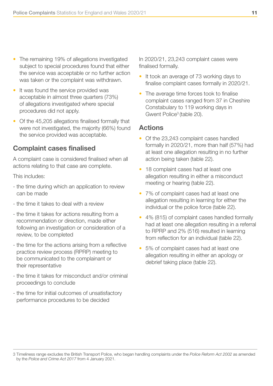- The remaining 19% of allegations investigated subject to special procedures found that either the service was acceptable or no further action was taken or the complaint was withdrawn.
- It was found the service provided was acceptable in almost three quarters (73%) of allegations investigated where special procedures did not apply.
- Of the 45,205 allegations finalised formally that were not investigated, the majority (66%) found the service provided was acceptable.

## Complaint cases finalised

A complaint case is considered finalised when all actions relating to that case are complete.

This includes:

- the time during which an application to review can be made
- the time it takes to deal with a review
- the time it takes for actions resulting from a recommendation or direction, made either following an investigation or consideration of a review, to be completed
- the time for the actions arising from a reflective practice review process (RPRP) meeting to be communicated to the complainant or their representative
- the time it takes for misconduct and/or criminal proceedings to conclude
- the time for initial outcomes of unsatisfactory performance procedures to be decided

In 2020/21, 23,243 complaint cases were finalised formally.

- It took an average of 73 working days to finalise complaint cases formally in 2020/21.
- The average time forces took to finalise complaint cases ranged from 37 in Cheshire Constabulary to 119 working days in Gwent Police<sup>3</sup> (table 20).

#### Actions

- Of the 23,243 complaint cases handled formally in 2020/21, more than half (57%) had at least one allegation resulting in no further action being taken (table 22).
- 18 complaint cases had at least one allegation resulting in either a misconduct meeting or hearing (table 22).
- 7% of complaint cases had at least one allegation resulting in learning for either the individual or the police force (table 22).
- 4% (815) of complaint cases handled formally had at least one allegation resulting in a referral to RPRP and 2% (516) resulted in learning from reflection for an individual (table 22).
- 5% of complaint cases had at least one allegation resulting in either an apology or debrief taking place (table 22).

<sup>3</sup> Timeliness range excludes the British Transport Police, who began handling complaints under the *Police Reform Act 2002* as amended by the *Police and Crime Act 2017* from 4 January 2021.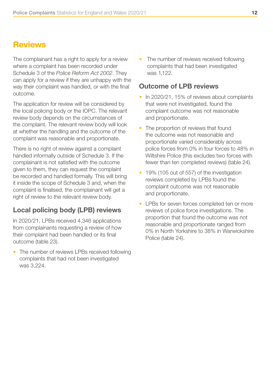# <span id="page-11-0"></span>**Reviews**

The complainant has a right to apply for a review where a complaint has been recorded under Schedule 3 of the *Police Reform Act 2002*. They can apply for a review if they are unhappy with the way their complaint was handled, or with the final outcome.

The application for review will be considered by the local policing body or the IOPC. The relevant review body depends on the circumstances of the complaint. The relevant review body will look at whether the handling and the outcome of the complaint was reasonable and proportionate.

There is no right of review against a complaint handled informally outside of Schedule 3. If the complainant is not satisfied with the outcome given to them, they can request the complaint be recorded and handled formally. This will bring it inside the scope of Schedule 3 and, when the complaint is finalised, the complainant will get a right of review to the relevant review body.

# Local policing body (LPB) reviews

In 2020/21, LPBs received 4,346 applications from complainants requesting a review of how their complaint had been handled or its final outcome (table 23).

• The number of reviews LPBs received following complaints that had not been investigated was 3,224.

The number of reviews received following complaints that had been investigated was 1,122.

## Outcome of LPB reviews

- In 2020/21, 15% of reviews about complaints that were not investigated, found the complaint outcome was not reasonable and proportionate.
- The proportion of reviews that found the outcome was not reasonable and proportionate varied considerably across police forces from 0% in four forces to 48% in Wiltshire Police (this excludes two forces with fewer than ten completed reviews) (table 24).
- 19% (105 out of 557) of the investigation reviews completed by LPBs found the complaint outcome was not reasonable and proportionate.
- LPBs for seven forces completed ten or more reviews of police force investigations. The proportion that found the outcome was not reasonable and proportionate ranged from 0% in North Yorkshire to 38% in Warwickshire Police (table 24).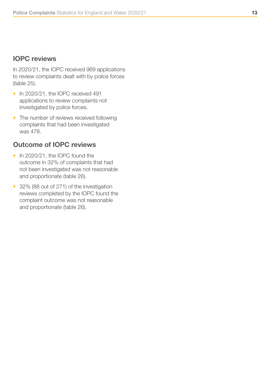#### IOPC reviews

In 2020/21, the IOPC received 969 applications to review complaints dealt with by police forces (table 25).

- In 2020/21, the IOPC received 491 applications to review complaints not investigated by police forces.
- The number of reviews received following complaints that had been investigated was 478.

#### Outcome of IOPC reviews

- In 2020/21, the IOPC found the outcome in 32% of complaints that had not been investigated was not reasonable and proportionate (table 26).
- 32% (88 out of 271) of the investigation reviews completed by the IOPC found the complaint outcome was not reasonable and proportionate (table 26).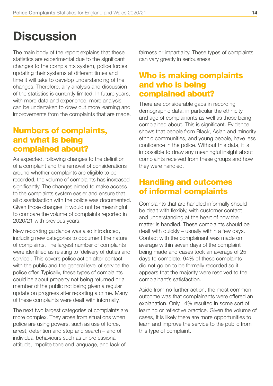# <span id="page-13-0"></span>**Discussion**

The main body of the report explains that these statistics are experimental due to the significant changes to the complaints system, police forces updating their systems at different times and time it will take to develop understanding of the changes. Therefore, any analysis and discussion of the statistics is currently limited. In future years, with more data and experience, more analysis can be undertaken to draw out more learning and improvements from the complaints that are made.

# Numbers of complaints, and what is being complained about?

As expected, following changes to the definition of a complaint and the removal of considerations around whether complaints are eligible to be recorded, the volume of complaints has increased significantly. The changes aimed to make access to the complaints system easier and ensure that all dissatisfaction with the police was documented. Given those changes, it would not be meaningful to compare the volume of complaints reported in 2020/21 with previous years.

New recording guidance was also introduced, including new categories to document the nature of complaints. The largest number of complaints were identified as relating to 'delivery of duties and service'. This covers police action after contact with the public and the general level of service the police offer. Typically, these types of complaints could be about property not being returned or a member of the public not being given a regular update on progress after reporting a crime. Many of these complaints were dealt with informally.

The next two largest categories of complaints are more complex. They arose from situations when police are using powers, such as use of force, arrest, detention and stop and search – and of individual behaviours such as unprofessional attitude, impolite tone and language, and lack of

fairness or impartiality. These types of complaints can vary greatly in seriousness.

# Who is making complaints and who is being complained about?

There are considerable gaps in recording demographic data, in particular the ethnicity and age of complainants as well as those being complained about. This is significant. Evidence shows that people from Black, Asian and minority ethnic communities, and young people, have less confidence in the police. Without this data, it is impossible to draw any meaningful insight about complaints received from these groups and how they were handled.

# Handling and outcomes of informal complaints

Complaints that are handled informally should be dealt with flexibly, with customer contact and understanding at the heart of how the matter is handled. These complaints should be dealt with quickly – usually within a few days. Contact with the complainant was made on average within seven days of the complaint being made and cases took an average of 25 days to complete. 94% of these complaints did not go on to be formally recorded so it appears that the majority were resolved to the complainant's satisfaction.

Aside from no further action, the most common outcome was that complainants were offered an explanation. Only 14% resulted in some sort of learning or reflective practice. Given the volume of cases, it is likely there are more opportunities to learn and improve the service to the public from this type of complaint.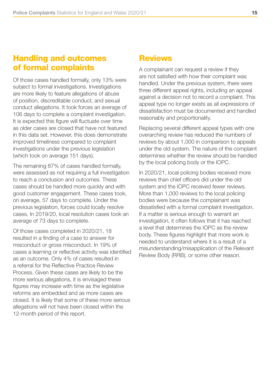## <span id="page-14-0"></span>Handling and outcomes of formal complaints

Of those cases handled formally, only 13% were subject to formal investigations. Investigations are more likely to feature allegations of abuse of position, discreditable conduct, and sexual conduct allegations. It took forces an average of 106 days to complete a complaint investigation. It is expected this figure will fluctuate over time as older cases are closed that have not featured in this data set. However, this does demonstrate improved timeliness compared to complaint investigations under the previous legislation (which took on average 151 days).

The remaining 87% of cases handled formally, were assessed as not requiring a full investigation to reach a conclusion and outcomes. These cases should be handled more quickly and with good customer engagement. These cases took, on average, 57 days to complete. Under the previous legislation, forces could locally resolve cases. In 2019/20, local resolution cases took an average of 73 days to complete.

Of those cases completed in 2020/21, 18 resulted in a finding of a case to answer for misconduct or gross misconduct. In 19% of cases a learning or reflective activity was identified as an outcome. Only 4% of cases resulted in a referral for the Reflective Practice Review Process. Given these cases are likely to be the more serious allegations, it is envisaged these figures may increase with time as the legislative reforms are embedded and as more cases are closed. It is likely that some of these more serious allegations will not have been closed within the 12-month period of this report.

## **Reviews**

A complainant can request a review if they are not satisfied with how their complaint was handled. Under the previous system, there were three different appeal rights, including an appeal against a decision not to record a complaint. This appeal type no longer exists as all expressions of dissatisfaction must be documented and handled reasonably and proportionality.

Replacing several different appeal types with one overarching review has reduced the numbers of reviews by about 1,000 in comparison to appeals under the old system. The nature of the complaint determines whether the review should be handled by the local policing body or the IOPC.

In 2020/21, local policing bodies received more reviews than chief officers did under the old system and the IOPC received fewer reviews. More than 1,000 reviews to the local policing bodies were because the complainant was dissatisfied with a formal complaint investigation. If a matter is serious enough to warrant an investigation, it often follows that it has reached a level that determines the IOPC as the review body. These figures highlight that more work is needed to understand where it is a result of a misunderstanding/misapplication of the Relevant Review Body (RRB), or some other reason.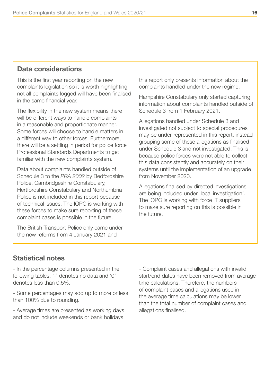#### Data considerations

This is the first year reporting on the new complaints legislation so it is worth highlighting not all complaints logged will have been finalised in the same financial year.

The flexibility in the new system means there will be different ways to handle complaints in a reasonable and proportionate manner. Some forces will choose to handle matters in a different way to other forces. Furthermore, there will be a settling in period for police force Professional Standards Departments to get familiar with the new complaints system.

Data about complaints handled outside of Schedule 3 to the *PRA 2002* by Bedfordshire Police, Cambridgeshire Constabulary, Hertfordshire Constabulary and Northumbria Police is not included in this report because of technical issues. The IOPC is working with these forces to make sure reporting of these complaint cases is possible in the future.

The British Transport Police only came under the new reforms from 4 January 2021 and

this report only presents information about the complaints handled under the new regime.

Hampshire Constabulary only started capturing information about complaints handled outside of Schedule 3 from 1 February 2021.

Allegations handled under Schedule 3 and investigated not subject to special procedures may be under-represented in this report, instead grouping some of these allegations as finalised under Schedule 3 and not investigated. This is because police forces were not able to collect this data consistently and accurately on their systems until the implementation of an upgrade from November 2020.

Allegations finalised by directed investigations are being included under 'local investigation'. The IOPC is working with force IT suppliers to make sure reporting on this is possible in the future.

#### Statistical notes

- In the percentage columns presented in the following tables, '-' denotes no data and '0' denotes less than 0.5%.

- Some percentages may add up to more or less than 100% due to rounding.

- Average times are presented as working days and do not include weekends or bank holidays.

- Complaint cases and allegations with invalid start/end dates have been removed from average time calculations. Therefore, the numbers of complaint cases and allegations used in the average time calculations may be lower than the total number of complaint cases and allegations finalised.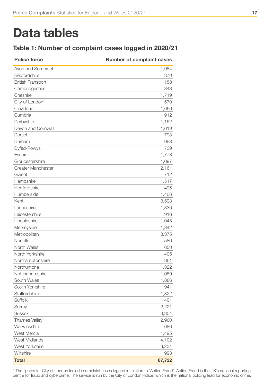# <span id="page-16-0"></span>Data tables

### Table 1: Number of complaint cases logged in 2020/21

| <b>Police force</b>       | <b>Number of complaint cases</b> |
|---------------------------|----------------------------------|
| Avon and Somerset         | 1,984                            |
| Bedfordshire              | 370                              |
| <b>British Transport</b>  | 158                              |
| Cambridgeshire            | 343                              |
| Cheshire                  | 1,719                            |
| City of London*           | 570                              |
| Cleveland                 | 1,666                            |
| Cumbria                   | 912                              |
| Derbyshire                | 1,152                            |
| Devon and Cornwall        | 1,619                            |
| Dorset                    | 793                              |
| Durham                    | 993                              |
| Dyfed-Powys               | 739                              |
| <b>Essex</b>              | 1,778                            |
| Gloucestershire           | 1,097                            |
| <b>Greater Manchester</b> | 2,161                            |
| Gwent                     | 712                              |
| Hampshire                 | 1,517                            |
| Hertfordshire             | 496                              |
| Humberside                | 1,406                            |
| Kent                      | 3,593                            |
| Lancashire                | 1,330                            |
| Leicestershire            | 916                              |
| Lincolnshire              | 1,045                            |
| Merseyside                | 1,842                            |
| Metropolitan              | 8,375                            |
| Norfolk                   | 580                              |
| North Wales               | 650                              |
| North Yorkshire           | 405                              |
| Northamptonshire          | 861                              |
| Northumbria               | 1,322                            |
| Nottinghamshire           | 1,089                            |
| South Wales               | 1,886                            |
| South Yorkshire           | 941                              |
| Staffordshire             | 1,322                            |
| Suffolk                   | 401                              |
| Surrey                    | 2,221                            |
| <b>Sussex</b>             | 3,304                            |
| <b>Thames Valley</b>      | 2,960                            |
| Warwickshire              | 680                              |
| West Mercia               | 1,495                            |
| West Midlands             | 4,102                            |
| West Yorkshire            | 3,234                            |
| Wiltshire                 | 993                              |
| <b>Total</b>              | 67,732                           |

\* The figures for City of London include complaint cases logged in relation to 'Action Fraud'. Action Fraud is the UK's national reporting centre for fraud and cybercrime. The service is run by the City of London Police, which is the national policing lead for economic crime.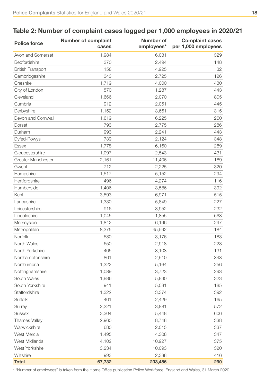## Table 2: Number of complaint cases logged per 1,000 employees in 2020/21

| <b>Police force</b>       | <b>Number of complaint</b><br>cases | <b>Number of</b><br>employees* | <b>Complaint cases</b><br>per 1,000 employees |
|---------------------------|-------------------------------------|--------------------------------|-----------------------------------------------|
| Avon and Somerset         | 1,984                               | 6,031                          | 329                                           |
| Bedfordshire              | 370                                 | 2,494                          | 148                                           |
| <b>British Transport</b>  | 158                                 | 4,925                          | 32                                            |
| Cambridgeshire            | 343                                 | 2,725                          | 126                                           |
| Cheshire                  | 1,719                               | 4,000                          | 430                                           |
| City of London            | 570                                 | 1,287                          | 443                                           |
| Cleveland                 | 1,666                               | 2,070                          | 805                                           |
| Cumbria                   | 912                                 | 2,051                          | 445                                           |
| Derbyshire                | 1,152                               | 3,661                          | 315                                           |
| Devon and Cornwall        | 1,619                               | 6,225                          | 260                                           |
| Dorset                    | 793                                 | 2,775                          | 286                                           |
| Durham                    | 993                                 | 2,241                          | 443                                           |
| Dyfed-Powys               | 739                                 | 2,124                          | 348                                           |
| <b>Essex</b>              | 1,778                               | 6,160                          | 289                                           |
| Gloucestershire           | 1,097                               | 2,543                          | 431                                           |
| <b>Greater Manchester</b> | 2,161                               | 11,406                         | 189                                           |
| Gwent                     | 712                                 | 2,225                          | 320                                           |
| Hampshire                 | 1,517                               | 5,152                          | 294                                           |
| Hertfordshire             | 496                                 | 4,274                          | 116                                           |
| Humberside                | 1,406                               | 3,586                          | 392                                           |
| Kent                      | 3,593                               | 6,971                          | 515                                           |
| Lancashire                | 1,330                               | 5,849                          | 227                                           |
| Leicestershire            | 916                                 | 3,952                          | 232                                           |
| Lincolnshire              | 1,045                               | 1,855                          | 563                                           |
| Merseyside                | 1,842                               | 6,196                          | 297                                           |
| Metropolitan              | 8,375                               | 45,592                         | 184                                           |
| Norfolk                   | 580                                 | 3,176                          | 183                                           |
| North Wales               | 650                                 | 2,918                          | 223                                           |
| North Yorkshire           | 405                                 | 3,103                          | 131                                           |
| Northamptonshire          | 861                                 | 2,510                          | 343                                           |
| Northumbria               | 1,322                               | 5,164                          | 256                                           |
| Nottinghamshire           | 1,089                               | 3,723                          | 293                                           |
| South Wales               | 1,886                               | 5,830                          | 323                                           |
| South Yorkshire           | 941                                 | 5,081                          | 185                                           |
| Staffordshire             | 1,322                               | 3,374                          | 392                                           |
| Suffolk                   | 401                                 | 2,429                          | 165                                           |
| Surrey                    | 2,221                               | 3,881                          | 572                                           |
| <b>Sussex</b>             | 3,304                               | 5,448                          | 606                                           |
| <b>Thames Valley</b>      | 2,960                               | 8,748                          | 338                                           |
| Warwickshire              | 680                                 | 2,015                          | 337                                           |
| West Mercia               | 1,495                               | 4,308                          | 347                                           |
| West Midlands             | 4,102                               | 10,927                         | 375                                           |
| West Yorkshire            | 3,234                               | 10,093                         | 320                                           |
| Wiltshire                 | 993                                 | 2,388                          | 416                                           |
| <b>Total</b>              | 67,732                              | 233,486                        | 290                                           |

\* "Number of employees" is taken from the Home Office publication Police Workforce, England and Wales, 31 March 2020.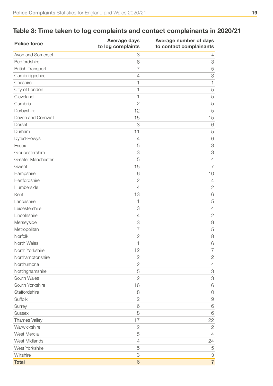# Table 3: Time taken to log complaints and contact complainants in 2020/21

| <b>Police force</b>      | <b>Average days</b><br>to log complaints | Average number of days<br>to contact complainants |
|--------------------------|------------------------------------------|---------------------------------------------------|
| Avon and Somerset        | 3                                        | 4                                                 |
| Bedfordshire             | 6                                        | 3                                                 |
| <b>British Transport</b> | 7                                        | 5                                                 |
| Cambridgeshire           | 4                                        | 3                                                 |
| Cheshire                 | 1                                        | 1                                                 |
| City of London           | 1                                        | 5                                                 |
| Cleveland                | 1                                        | 5                                                 |
| Cumbria                  | $\overline{2}$                           | 5                                                 |
| Derbyshire               | 12                                       | 5                                                 |
| Devon and Cornwall       | 15                                       | 15                                                |
| Dorset                   | 3                                        | 6                                                 |
| Durham                   | 11                                       | 5                                                 |
| Dyfed-Powys              | 4                                        | 6                                                 |
| <b>Essex</b>             | 5                                        | 3                                                 |
| Gloucestershire          | 3                                        | 3                                                 |
| Greater Manchester       | 5                                        | $\overline{4}$                                    |
| Gwent                    | 15                                       | $\overline{7}$                                    |
| Hampshire                | 6                                        | 10                                                |
| Hertfordshire            | $\overline{2}$                           | $\overline{4}$                                    |
| Humberside               | $\overline{4}$                           | $\sqrt{2}$                                        |
| Kent                     | 13                                       | 6                                                 |
| Lancashire               | 1                                        | 5                                                 |
| Leicestershire           | 3                                        | $\overline{4}$                                    |
| Lincolnshire             | 4                                        | $\sqrt{2}$                                        |
| Merseyside               | 3                                        | $\Theta$                                          |
| Metropolitan             | 7                                        | 5                                                 |
| Norfolk                  | $\overline{2}$                           | 8                                                 |
| North Wales              | 1                                        | 6                                                 |
| North Yorkshire          | 12                                       | $\overline{7}$                                    |
| Northamptonshire         | $\overline{2}$                           | $\sqrt{2}$                                        |
| Northumbria              | $\overline{2}$                           | $\sqrt{4}$                                        |
| Nottinghamshire          | 5                                        | 3                                                 |
| South Wales              | $\overline{2}$                           | 3                                                 |
| South Yorkshire          | 16                                       | 16                                                |
| Staffordshire            | 8                                        | 10                                                |
| Suffolk                  | $\mathbf{2}$                             | 9                                                 |
| Surrey                   | 6                                        | 6                                                 |
| <b>Sussex</b>            | 8                                        | 6                                                 |
| Thames Valley            | 17                                       | 22                                                |
| Warwickshire             | $\mathbf{2}$                             | $\mathbf{2}$                                      |
| West Mercia              | 5                                        | $\overline{4}$                                    |
| <b>West Midlands</b>     | 4                                        | 24                                                |
| West Yorkshire           | 5                                        | 5                                                 |
| Wiltshire                | 3                                        | $\mbox{3}$                                        |
| <b>Total</b>             | 6                                        | $\overline{7}$                                    |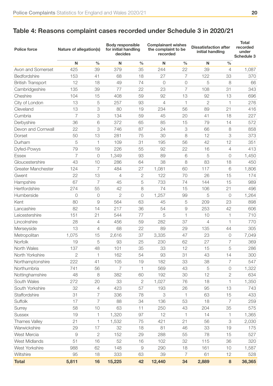## Table 4: Reasons complaint cases recorded under Schedule 3 in 2020/21

| <b>Police force</b>       | Nature of allegation(s) |                | <b>Body responsible</b><br>for initial handling<br>decides |                | <b>Complainant wishes</b><br>the complaint to be<br>recorded |                | <b>Dissatisfaction after</b><br>initial handling |                | <b>Total</b><br>recorded<br>under<br><b>Schedule 3</b> |
|---------------------------|-------------------------|----------------|------------------------------------------------------------|----------------|--------------------------------------------------------------|----------------|--------------------------------------------------|----------------|--------------------------------------------------------|
|                           | N                       | $\frac{0}{0}$  | N                                                          | $\frac{0}{0}$  | N                                                            | $\frac{0}{0}$  | N                                                | $\frac{0}{0}$  |                                                        |
| Avon and Somerset         | 425                     | 39             | 379                                                        | 35             | 244                                                          | 22             | 39                                               | 4              | 1,087                                                  |
| Bedfordshire              | 153                     | 41             | 68                                                         | 18             | 27                                                           | $\overline{7}$ | 122                                              | 33             | 370                                                    |
| <b>British Transport</b>  | 12                      | 18             | 49                                                         | 74             | $\overline{0}$                                               | 0              | 5                                                | 8              | 66                                                     |
| Cambridgeshire            | 135                     | 39             | 77                                                         | 22             | 23                                                           | $\overline{7}$ | 108                                              | 31             | 343                                                    |
| Cheshire                  | 104                     | 15             | 408                                                        | 59             | 92                                                           | 13             | 92                                               | 13             | 696                                                    |
| City of London            | 13                      | 5              | 257                                                        | 93             | 4                                                            | 1              | $\mathbf{2}$                                     | 1              | 276                                                    |
| Cleveland                 | 13                      | 3              | 80                                                         | 19             | 234                                                          | 56             | 89                                               | 21             | 416                                                    |
| Cumbria                   | 7                       | 3              | 134                                                        | 59             | 45                                                           | 20             | 41                                               | 18             | 227                                                    |
| Derbyshire                | 36                      | 6              | 372                                                        | 65             | 85                                                           | 15             | 79                                               | 14             | 572                                                    |
| Devon and Cornwall        | 22                      | 3              | 746                                                        | 87             | 24                                                           | 3              | 66                                               | 8              | 858                                                    |
| Dorset                    | 50                      | 13             | 281                                                        | 75             | 30                                                           | 8              | 12                                               | 3              | 373                                                    |
| Durham                    | 5                       | 1              | 109                                                        | 31             | 195                                                          | 56             | 42                                               | 12             | 351                                                    |
| Dyfed-Powys               | 79                      | 19             | 226                                                        | 55             | 92                                                           | 22             | 16                                               | 4              | 413                                                    |
| Essex                     | $\overline{7}$          | 0              | 1,349                                                      | 93             | 89                                                           | 6              | 5                                                | 0              | 1,450                                                  |
| Gloucestershire           | 43                      | 10             | 286                                                        | 64             | 38                                                           | 8              | 83                                               | 18             | 450                                                    |
| <b>Greater Manchester</b> | 124                     | $\overline{7}$ | 484                                                        | 27             | 1,081                                                        | 60             | 117                                              | 6              | 1,806                                                  |
| Gwent                     | 22                      | 13             | $\overline{4}$                                             | $\overline{2}$ | 122                                                          | 70             | 26                                               | 15             | 174                                                    |
| Hampshire                 | 67                      | 7              | 45                                                         | 5              | 733                                                          | 74             | 144                                              | 15             | 989                                                    |
| Hertfordshire             | 274                     | 55             | 42                                                         | 8              | 74                                                           | 15             | 106                                              | 21             | 496                                                    |
| Humberside                | 0                       | 0              | 2                                                          | 0              | 1,257                                                        | 99             | 5                                                | 0              | 1,264                                                  |
| Kent                      | 80                      | 9              | 564                                                        | 63             | 45                                                           | 5              | 209                                              | 23             | 898                                                    |
| Lancashire                | 82                      | 14             | 217                                                        | 36             | 54                                                           | 9              | 253                                              | 42             | 606                                                    |
| Leicestershire            | 151                     | 21             | 544                                                        | 77             | 5                                                            | 1              | 10                                               | 1              | 710                                                    |
| Lincolnshire              | 28                      | 4              | 456                                                        | 59             | 282                                                          | 37             | $\overline{4}$                                   | 1              | 770                                                    |
| Merseyside                | 13                      | 4              | 68                                                         | 22             | 89                                                           | 29             | 135                                              | 44             | 305                                                    |
| Metropolitan              | 1,075                   | 15             | 2,616                                                      | 37             | 3,335                                                        | 47             | 23                                               | 0              | 7,049                                                  |
| Norfolk                   | 19                      | 5              | 93                                                         | 25             | 230                                                          | 62             | 27                                               | $\overline{7}$ | 369                                                    |
| North Wales               | 137                     | 48             | 101                                                        | 35             | 33                                                           | 12             | 15                                               | 5              | 286                                                    |
| North Yorkshire           | $\overline{2}$          | 1              | 162                                                        | 54             | 93                                                           | 31             | 43                                               | 14             | 300                                                    |
| Northamptonshire          | 222                     | 41             | 105                                                        | 19             | 182                                                          | 33             | 38                                               | 7              | 547                                                    |
| Northumbria               | 741                     | 56             | 7                                                          | 1              | 569                                                          | 43             | 5                                                | 0              | 1,322                                                  |
| Nottinghamshire           | 48                      | 8              | 382                                                        | 60             | 192                                                          | 30             | 12                                               | $\mathbf{2}$   | 634                                                    |
| South Wales               | 272                     | 20             | 33                                                         | $\overline{2}$ | 1,027                                                        | 76             | 18                                               | 1              | 1,350                                                  |
| South Yorkshire           | 32                      | 4              | 423                                                        | 57             | 193                                                          | 26             | 95                                               | 13             | 743                                                    |
| Staffordshire             | 31                      | 7              | 336                                                        | 78             | 3                                                            | 1              | 63                                               | 15             | 433                                                    |
| Suffolk                   | 17                      | $\overline{7}$ | 88                                                         | 34             | 136                                                          | 53             | 18                                               | 7              | 259                                                    |
| Surrey                    | 58                      | 10             | 63                                                         | 11             | 250                                                          | 43             | 204                                              | 35             | 575                                                    |
| <b>Sussex</b>             | 19                      | 1              | 1,320                                                      | 97             | 12                                                           | $\mathbf{1}$   | 14                                               | 1              | 1,365                                                  |
| <b>Thames Valley</b>      | 21                      | 1              | 1,532                                                      | 75             | 421                                                          | 21             | 56                                               | 3              | 2,030                                                  |
| Warwickshire              | 29                      | 17             | 32                                                         | 18             | 81                                                           | 46             | 33                                               | 19             | 175                                                    |
| West Mercia               | $\Theta$                | $\mathbf{2}$   | 152                                                        | 29             | 288                                                          | 55             | 78                                               | 15             | 527                                                    |
| <b>West Midlands</b>      | 51                      | 16             | 52                                                         | 16             | 102                                                          | 32             | 115                                              | 36             | 320                                                    |
| West Yorkshire            | 988                     | 62             | 148                                                        | $\overline{9}$ | 290                                                          | 18             | 161                                              | 10             | 1,587                                                  |
| Wiltshire                 | 95                      | 18             | 333                                                        | 63             | 39                                                           | 7              | 61                                               | 12             | 528                                                    |
| <b>Total</b>              | 5,811                   | 16             | 15,225                                                     | 42             | 12,440                                                       | 34             | 2,889                                            | 8              | 36,365                                                 |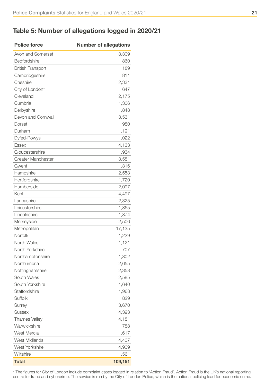## Table 5: Number of allegations logged in 2020/21

| <b>Police force</b>       | <b>Number of allegations</b> |
|---------------------------|------------------------------|
| Avon and Somerset         | 3,309                        |
| Bedfordshire              | 860                          |
| <b>British Transport</b>  | 189                          |
| Cambridgeshire            | 811                          |
| Cheshire                  | 2,331                        |
| City of London*           | 647                          |
| Cleveland                 | 2,175                        |
| Cumbria                   | 1,306                        |
| Derbyshire                | 1,848                        |
| Devon and Cornwall        | 3,531                        |
| Dorset                    | 980                          |
| Durham                    | 1,191                        |
| Dyfed-Powys               | 1,022                        |
| <b>Essex</b>              | 4,133                        |
| Gloucestershire           | 1,934                        |
| <b>Greater Manchester</b> | 3,581                        |
| Gwent                     | 1,316                        |
| Hampshire                 | 2,553                        |
| Hertfordshire             | 1,720                        |
| Humberside                | 2,097                        |
| Kent                      | 4,497                        |
| Lancashire                | 2,325                        |
| Leicestershire            | 1,865                        |
| Lincolnshire              | 1,374                        |
| Merseyside                | 2,506                        |
| Metropolitan              | 17,135                       |
| Norfolk                   | 1,229                        |
| North Wales               | 1,121                        |
| North Yorkshire           | 707                          |
| Northamptonshire          | 1,302                        |
| Northumbria               | 2,655                        |
| Nottinghamshire           | 2,353                        |
| South Wales               | 2,585                        |
| South Yorkshire           | 1,640                        |
| Staffordshire             | 1,968                        |
| Suffolk                   | 829                          |
| Surrey                    | 3,670                        |
| <b>Sussex</b>             | 4,393                        |
| <b>Thames Valley</b>      | 4,181                        |
| Warwickshire              | 788                          |
| West Mercia               | 1,617                        |
| <b>West Midlands</b>      | 4,407                        |
| West Yorkshire            | 4,909                        |
| Wiltshire                 | 1,561                        |
| <b>Total</b>              | 109,151                      |

\* The figures for City of London include complaint cases logged in relation to 'Action Fraud'. Action Fraud is the UK's national reporting centre for fraud and cybercrime. The service is run by the City of London Police, which is the national policing lead for economic crime.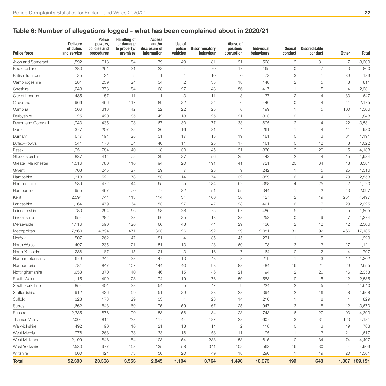# Table 6: Number of allegations logged - what has been complained about in 2020/21

| <b>Police force</b>      | <b>Delivery</b><br>of duties<br>and service | <b>Police</b><br>powers,<br>policies and<br>procedures | <b>Handling of</b><br>or damage<br>to property/<br>premises | <b>Access</b><br>and/or<br>disclosure of<br>information | Use of<br>police<br>vehicles | <b>Discriminatory</b><br>behaviour | Abuse of<br>position/<br>corruption | <b>Individual</b><br>behaviours | <b>Sexual</b><br>conduct | <b>Discreditable</b><br>conduct | <b>Other</b>              | <b>Total</b>  |
|--------------------------|---------------------------------------------|--------------------------------------------------------|-------------------------------------------------------------|---------------------------------------------------------|------------------------------|------------------------------------|-------------------------------------|---------------------------------|--------------------------|---------------------------------|---------------------------|---------------|
| Avon and Somerset        | 1,592                                       | 618                                                    | 84                                                          | 79                                                      | 49                           | 181                                | 91                                  | 568                             | 9                        | 31                              | $\overline{7}$            | 3,309         |
| Bedfordshire             | 280                                         | 261                                                    | 31                                                          | 22                                                      | 4                            | 70                                 | 17                                  | 165                             | $\circ$                  | $\overline{7}$                  | 3                         | 860           |
| <b>British Transport</b> | 25                                          | 31                                                     | 5                                                           | $\mathbf{1}$                                            | $\mathbf{1}$                 | 10                                 | $\circ$                             | 73                              | 3                        | $\overline{1}$                  | 39                        | 189           |
| Cambridgeshire           | 281                                         | 259                                                    | 24                                                          | 34                                                      | $\mathbf{2}$                 | 35                                 | 18                                  | 148                             | $\mathbf{2}$             | 5                               | $\ensuremath{\mathsf{3}}$ | 811           |
| Cheshire                 | 1,243                                       | 378                                                    | 84                                                          | 68                                                      | 27                           | 48                                 | 56                                  | 417                             | $\mathbf{1}$             | 5                               | 4                         | 2,331         |
| City of London           | 485                                         | 57                                                     | 11                                                          | $\mathbf{1}$                                            | 3                            | 11                                 | 3                                   | 37                              | $\mathbf{2}$             | $\overline{4}$                  | 33                        | 647           |
| Cleveland                | 966                                         | 466                                                    | 117                                                         | 89                                                      | 22                           | 24                                 | 6                                   | 440                             | $\circ$                  | $\overline{4}$                  | 41                        | 2,175         |
| Cumbria                  | 566                                         | 318                                                    | 42                                                          | 22                                                      | 22                           | 25                                 | 6                                   | 199                             | $\mathbf{1}$             | $\mathbf 5$                     | 100                       | 1,306         |
| Derbyshire               | 925                                         | 420                                                    | 85                                                          | 42                                                      | 13                           | 25                                 | 21                                  | 303                             | $\overline{2}$           | 6                               | 6                         | 1,848         |
| Devon and Cornwall       | 1,943                                       | 435                                                    | 103                                                         | 67                                                      | 30                           | 77                                 | 33                                  | 805                             | $\mathbf{2}$             | 14                              | 22                        | 3,531         |
| Dorset                   | 377                                         | 207                                                    | 32                                                          | 36                                                      | 16                           | 31                                 | $\overline{4}$                      | 261                             | $\mathbf{1}$             | $\overline{4}$                  | 11                        | 980           |
| Durham                   | 677                                         | 191                                                    | 28                                                          | 31                                                      | 17                           | 13                                 | 19                                  | 181                             | $\circ$                  | 3                               | 31                        | 1,191         |
| Dyfed-Powys              | 541                                         | 178                                                    | 34                                                          | 40                                                      | 11                           | 25                                 | 17                                  | 161                             | 0                        | 12                              | 3                         | 1,022         |
| Essex                    | 1,951                                       | 784                                                    | 140                                                         | 118                                                     | 30                           | 145                                | 91                                  | 830                             | 9                        | 20                              | 15                        | 4,133         |
| Gloucestershire          | 837                                         | 414                                                    | 72                                                          | 39                                                      | 27                           | 56                                 | 25                                  | 443                             | $\overline{2}$           | $\overline{4}$                  | 15                        | 1,934         |
| Greater Manchester       | 1,516                                       | 780                                                    | 116                                                         | 94                                                      | 20                           | 191                                | 41                                  | 721                             | 20                       | 64                              | 18                        | 3,581         |
| Gwent                    | 703                                         | 245                                                    | 27                                                          | 29                                                      | $\overline{7}$               | 23                                 | $\mathcal{G}% _{0}$                 | 242                             | 1                        | 5                               | 25                        | 1,316         |
| Hampshire                | 1,318                                       | 521                                                    | 73                                                          | 53                                                      | 14                           | 74                                 | 32                                  | 359                             | 16                       | 14                              | 79                        | 2,553         |
| Hertfordshire            | 539                                         | 472                                                    | 44                                                          | 65                                                      | 5                            | 134                                | 62                                  | 368                             | 4                        | 25                              | $\overline{2}$            | 1,720         |
| Humberside               | 955                                         | 467                                                    | 70                                                          | 77                                                      | 32                           | 51                                 | 55                                  | 344                             | 1.                       | $\overline{2}$                  | 43                        | 2,097         |
| Kent                     | 2,594                                       | 741                                                    | 113                                                         | 114                                                     | 34                           | 166                                | 36                                  | 427                             | $\mathbf{2}$             | 19                              | 251                       | 4,497         |
| Lancashire               | 1,164                                       | 479                                                    | 64                                                          | 53                                                      | 27                           | 47                                 | 28                                  | 421                             | 6                        | $\overline{7}$                  | 29                        | 2,325         |
| Leicestershire           | 780                                         | 294                                                    | 66                                                          | 58                                                      | 28                           | 75                                 | 67                                  | 486                             | 5                        | $\overline{1}$                  | 5                         | 1,865         |
| Lincolnshire             | 654                                         | 282                                                    | 33                                                          | 60                                                      | 25                           | 13                                 | 38                                  | 253                             | $\circ$                  | 9                               | $\overline{7}$            | 1,374         |
| Merseyside               | 1,116                                       | 590                                                    | 126                                                         | 66                                                      | 43                           | 44                                 | 29                                  | 436                             | $\sqrt{2}$               | 12                              | 42                        | 2,506         |
| Metropolitan             | 7,860                                       | 4,894                                                  | 471                                                         | 323                                                     | 126                          | 692                                | 99                                  | 2,081                           | 31                       | 92                              | 466                       | 17,135        |
| Norfolk                  | 507                                         | 262                                                    | 47                                                          | 51                                                      | $\overline{4}$               | 35                                 | 45                                  | 271                             | 1.                       | 5                               | $\mathbf{1}$              | 1,229         |
| North Wales              | 497                                         | 235                                                    | 21                                                          | 51                                                      | 13                           | 23                                 | 60                                  | 178                             | 3                        | 13                              | 27                        | 1,121         |
| North Yorkshire          | 288                                         | 187                                                    | 15                                                          | 21                                                      | 3                            | 16                                 | $\overline{7}$                      | 164                             | $\circ$                  | $\mathbf{2}$                    | $\overline{4}$            | 707           |
| Northamptonshire         | 679                                         | 244                                                    | 33                                                          | 47                                                      | 13                           | 48                                 | 3                                   | 219                             | $\mathbf{1}$             | 3                               | 12                        | 1,302         |
| Northumbria              | 781                                         | 847                                                    | 107                                                         | 144                                                     | 40                           | 98                                 | 88                                  | 484                             | 16                       | 21                              | 29                        | 2,655         |
| Nottinghamshire          | 1,653                                       | 370                                                    | 40                                                          | 46                                                      | 15                           | 46                                 | 21                                  | 94                              | $\overline{2}$           | 20                              | 46                        | 2,353         |
| South Wales              | 1,115                                       | 499                                                    | 128                                                         | 74                                                      | 19                           | 76                                 | 50                                  | 588                             | 9                        | 15                              | 12                        | 2,585         |
| South Yorkshire          | 854                                         | 401                                                    | 38                                                          | 54                                                      | 5                            | 47                                 | 9                                   | 224                             | $\overline{2}$           | 5                               | $\mathbf{1}$              | 1,640         |
| Staffordshire            | 912                                         | 436                                                    | 59                                                          | 51                                                      | 29                           | 33                                 | 28                                  | 394                             | $\overline{2}$           | 16                              | 8                         | 1,968         |
| Suffolk                  | 328                                         | 173                                                    | 29                                                          | 33                                                      | 4                            | 28                                 | 14                                  | 210                             |                          | 8                               | $\mathbf{1}$              | 829           |
| Surrey                   | 1,662                                       | 643                                                    | 169                                                         | 75                                                      | 59                           | 67                                 | 25                                  | 947                             | З                        | 8                               | 12                        | 3,670         |
| <b>Sussex</b>            | 2,335                                       | 876                                                    | 90                                                          | 58                                                      | 58                           | 84                                 | 23                                  | 743                             | 6                        | 27                              | 93                        | 4,393         |
| Thames Valley            | 2,004                                       | 814                                                    | 223                                                         | 117                                                     | 44                           | 187                                | 28                                  | 607                             | 3                        | 31                              | 123                       | 4,181         |
| Warwickshire             | 492                                         | 90                                                     | 16                                                          | 21                                                      | $13$                         | 14                                 | $\mathbf{2}$                        | 118                             | $\mathsf O$              | 3                               | 19                        | 788           |
| West Mercia              | 976                                         | 263                                                    | 33                                                          | 33                                                      | 18                           | 53                                 | 11                                  | 195                             | $\mathbf{1}$             | 13                              | 21                        | 1,617         |
| West Midlands            | 2,199                                       | 848                                                    | 184                                                         | 103                                                     | 54                           | 233                                | 53                                  | 615                             | 10                       | 34                              | 74                        | 4,407         |
| West Yorkshire           | 2,530                                       | 977                                                    | 153                                                         | 135                                                     | 58                           | 341                                | 102                                 | 563                             | 16                       | 30                              | $\overline{4}$            | 4,909         |
| Wiltshire                | 600                                         | 421                                                    | 73                                                          | 50                                                      | 20                           | 49                                 | 18                                  | 290                             | $\mathbf{1}$             | 19                              | 20                        | 1,561         |
| <b>Total</b>             | 52,300                                      | 23,368                                                 | 3,553                                                       | 2,845                                                   | 1,104                        | 3,764                              | 1,490                               | 18,073                          | 199                      | 648                             |                           | 1,807 109,151 |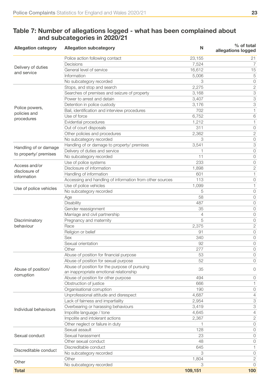#### Table 7: Number of allegations logged - what has been complained about and subcategories in 2020/21

| <b>Allegation category</b>        | <b>Allegation subcategory</b>                                                            | N       | % of total<br>allegations logged |
|-----------------------------------|------------------------------------------------------------------------------------------|---------|----------------------------------|
|                                   | Police action following contact                                                          | 23,155  | 21                               |
|                                   | Decisions                                                                                | 7,524   | 7                                |
| Delivery of duties<br>and service | General level of service                                                                 | 16,612  | 15                               |
|                                   | Information                                                                              | 5,006   | 5                                |
|                                   | No subcategory recorded                                                                  | 3       | $\bigcirc$                       |
|                                   | Stops, and stop and search                                                               | 2,275   | $\overline{c}$                   |
|                                   | Searches of premises and seizure of property                                             | 3,168   | 3                                |
|                                   | Power to arrest and detain                                                               | 3,407   | 3                                |
|                                   | Detention in police custody                                                              | 3,176   | 3                                |
| Police powers,<br>policies and    | Bail, identification and interview procedures                                            | 702     | 1                                |
| procedures                        | Use of force                                                                             | 6,752   | 6                                |
|                                   | Evidential procedures                                                                    | 1,212   | 1.                               |
|                                   | Out of court disposals                                                                   | 311     | $\circ$                          |
|                                   | Other policies and procedures                                                            | 2,362   | $\mathbf{2}$                     |
|                                   | No subcategory recorded                                                                  | 3       | $\bigcirc$                       |
| Handling of or damage             | Handling of or damage to property/ premises                                              | 3,541   | 3                                |
|                                   | Delivery of duties and service                                                           |         | $\circ$                          |
| to property/ premises             | No subcategory recorded                                                                  | 11      | $\overline{0}$                   |
| Access and/or                     | Use of police systems                                                                    | 233     | 0                                |
| disclosure of                     | Disclosure of information                                                                | 1,898   | 2                                |
| information                       | Handling of information                                                                  | 601     | $\mathbf{1}$                     |
|                                   | Accessing and handling of information from other sources                                 | 113     | $\circ$                          |
| Use of police vehicles            | Use of police vehicles                                                                   | 1,099   | $\mathbf{1}$                     |
|                                   | No subcategory recorded                                                                  | 5       | $\bigcirc$                       |
|                                   | Age                                                                                      | 58      | 0                                |
|                                   | <b>Disability</b>                                                                        | 487     | 0                                |
|                                   | Gender reassignment                                                                      | 35      | 0                                |
|                                   | Marriage and civil partnership                                                           | 4       | $\circ$                          |
| Discriminatory                    | Pregnancy and maternity                                                                  | 5       | 0                                |
| behaviour                         | Race                                                                                     | 2,375   | $\mathbf{2}$                     |
|                                   | Religion or belief                                                                       | 91      | $\circ$                          |
|                                   | <b>Sex</b>                                                                               | 340     | $\circ$                          |
|                                   | Sexual orientation                                                                       | 92      | 0                                |
|                                   | Other                                                                                    | 277     | $\bigcirc$                       |
|                                   | Abuse of position for financial purpose                                                  | 53      | $\bigcirc$                       |
|                                   | Abuse of position for sexual purpose                                                     | 52      | $\circ$                          |
| Abuse of position/<br>corruption  | Abuse of position for the purpose of pursuing<br>an inappropriate emotional relationship | 35      | 0                                |
|                                   | Abuse of position for other purpose                                                      | 494     | 0                                |
|                                   | Obstruction of justice                                                                   | 666     | 1                                |
|                                   | Organisational corruption                                                                | 190     | 0                                |
|                                   | Unprofessional attitude and disrespect                                                   | 4,687   | 4                                |
|                                   | Lack of fairness and impartiality                                                        | 2,954   | $\ensuremath{\mathcal{S}}$       |
| Individual behaviours             | Overbearing or harassing behaviours                                                      | 3,419   | $\ensuremath{\mathsf{3}}$        |
|                                   | Impolite language / tone                                                                 | 4,645   | 4                                |
|                                   | Impolite and intolerant actions                                                          | 2,367   | $\sqrt{2}$                       |
|                                   | Other neglect or failure in duty                                                         |         | $\circ$                          |
|                                   | Sexual assault                                                                           | 128     | 0                                |
| Sexual conduct                    | Sexual harassment                                                                        | 23      | $\circ$                          |
|                                   | Other sexual conduct                                                                     | 48      | 0                                |
| Discreditable conduct             | Discreditable conduct                                                                    | 645     | 1.                               |
|                                   | No subcategory recorded                                                                  | 3       | 0                                |
| Other                             | Other                                                                                    | 1,804   | $\sqrt{2}$                       |
|                                   | No subcategory recorded                                                                  | 3       | $\Omega$                         |
| <b>Total</b>                      |                                                                                          | 109,151 | 100                              |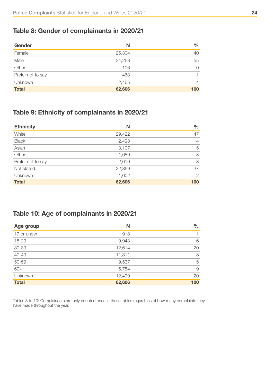#### Table 8: Gender of complainants in 2020/21

| Gender            | N      | $\%$           |
|-------------------|--------|----------------|
| Female            | 25,304 | 40             |
| Male              | 34,268 | 55             |
| Other             | 106    | $\Omega$       |
| Prefer not to say | 463    |                |
| Unknown           | 2,465  | $\overline{4}$ |
| <b>Total</b>      | 62,606 | 100            |

### Table 9: Ethnicity of complainants in 2020/21

| <b>Ethnicity</b>  | N      | $\frac{0}{0}$  |
|-------------------|--------|----------------|
| White             | 29,422 | 47             |
| <b>Black</b>      | 2,498  | $\overline{4}$ |
| Asian             | 3,107  | 5              |
| Other             | 1,689  | 3              |
| Prefer not to say | 2,019  | 3              |
| Not stated        | 22,869 | 37             |
| Unknown           | 1,002  | $\overline{2}$ |
| <b>Total</b>      | 62,606 | 100            |

#### Table 10: Age of complainants in 2020/21

| Age group    | N      | $\frac{0}{0}$ |
|--------------|--------|---------------|
| 17 or under  | 918    | 1.            |
| 18-29        | 9,943  | 16            |
| 30-39        | 12,614 | 20            |
| 40-49        | 11,311 | 18            |
| 50-59        | 9,537  | 15            |
| $60+$        | 5,784  | $\Theta$      |
| Unknown      | 12,499 | 20            |
| <b>Total</b> | 62,606 | 100           |

Tables 8 to 10: Complainants are only counted once in these tables regardless of how many complaints they have made throughout the year.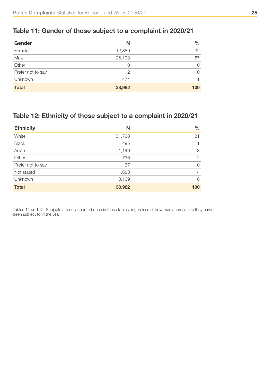#### Table 11: Gender of those subject to a complaint in 2020/21

| <b>Gender</b>     | Ν      | $\%$ |
|-------------------|--------|------|
| Female            | 12,389 | 32   |
| Male              | 26,108 | 67   |
| Other             | U      | 0    |
| Prefer not to say | 2      | 0    |
| Unknown           | 474    |      |
| <b>Total</b>      | 38,982 | 100  |

### Table 12: Ethnicity of those subject to a complaint in 2020/21

| <b>Ethnicity</b>  | N      | $\frac{0}{0}$  |
|-------------------|--------|----------------|
| White             | 31,768 | 81             |
| <b>Black</b>      | 495    |                |
| Asian             | 1,149  | 3              |
| Other             | 736    | $\overline{2}$ |
| Prefer not to say | 37     | $\Omega$       |
| Not stated        | 1,688  | $\overline{4}$ |
| Unknown           | 3,109  | 8              |
| <b>Total</b>      | 38,982 | 100            |

Tables 11 and 12: Subjects are only counted once in these tables, regardless of how many complaints they have been subject to in the year.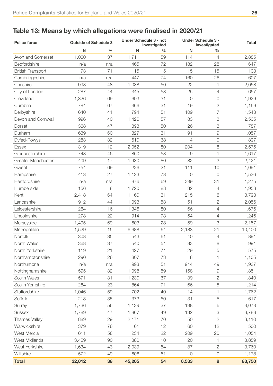# Table 13: Means by which allegations were finalised in 2020/21

| <b>Police force</b>       | <b>Outside of Schedule 3</b> |               | <b>Under Schedule 3 - not</b><br>investigated |               | <b>Under Schedule 3 -</b><br>investigated |                | <b>Total</b> |
|---------------------------|------------------------------|---------------|-----------------------------------------------|---------------|-------------------------------------------|----------------|--------------|
|                           | ${\sf N}$                    | $\frac{0}{0}$ | $\mathsf{N}$                                  | $\frac{0}{0}$ | N                                         | $\frac{0}{0}$  |              |
| Avon and Somerset         | 1,060                        | 37            | 1,711                                         | 59            | 114                                       | 4              | 2,885        |
| Bedfordshire              | n/a                          | n/a           | 465                                           | 72            | 182                                       | 28             | 647          |
| <b>British Transport</b>  | 73                           | 71            | 15                                            | 15            | 15                                        | 15             | 103          |
| Cambridgeshire            | n/a                          | n/a           | 447                                           | 74            | 160                                       | 26             | 607          |
| Cheshire                  | 998                          | 48            | 1,038                                         | 50            | 22                                        | 1              | 2,058        |
| City of London            | 287                          | 44            | 345                                           | 53            | 25                                        | 4              | 657          |
| Cleveland                 | 1,326                        | 69            | 603                                           | 31            | $\circ$                                   | $\bigcirc$     | 1,929        |
| Cumbria                   | 784                          | 67            | 366                                           | 31            | 19                                        | $\overline{2}$ | 1,169        |
| Derbyshire                | 640                          | 41            | 794                                           | 51            | 109                                       | 7              | 1,543        |
| Devon and Cornwall        | 996                          | 40            | 1,426                                         | 57            | 83                                        | 3              | 2,505        |
| Dorset                    | 368                          | 47            | 393                                           | 50            | 26                                        | 3              | 787          |
| Durham                    | 639                          | 60            | 327                                           | 31            | 91                                        | $\Theta$       | 1,057        |
| Dyfed-Powys               | 283                          | 32            | 610                                           | 68            | 4                                         | 0              | 897          |
| <b>Essex</b>              | 319                          | 12            | 2,052                                         | 80            | 204                                       | 8              | 2,575        |
| Gloucestershire           | 748                          | 46            | 860                                           | 53            | $\Theta$                                  | 1              | 1,617        |
| <b>Greater Manchester</b> | 409                          | 17            | 1,930                                         | 80            | 82                                        | 3              | 2,421        |
| Gwent                     | 754                          | 69            | 226                                           | 21            | 111                                       | 10             | 1,091        |
| Hampshire                 | 413                          | 27            | 1,123                                         | 73            | $\Omega$                                  | $\mathcal{O}$  | 1,536        |
| Hertfordshire             | n/a                          | n/a           | 876                                           | 69            | 399                                       | 31             | 1,275        |
| Humberside                | 156                          | 8             | 1,720                                         | 88            | 82                                        | $\overline{4}$ | 1,958        |
| Kent                      | 2,418                        | 64            | 1,160                                         | 31            | 215                                       | 6              | 3,793        |
| Lancashire                | 912                          | 44            | 1,093                                         | 53            | 51                                        | $\mathbf{2}$   | 2,056        |
| Leicestershire            | 264                          | 16            | 1,346                                         | 80            | 66                                        | 4              | 1,676        |
| Lincolnshire              | 278                          | 22            | 914                                           | 73            | 54                                        | 4              | 1,246        |
| Merseyside                | 1,495                        | 69            | 603                                           | 28            | 59                                        | 3              | 2,157        |
| Metropolitan              | 1,529                        | 15            | 6,688                                         | 64            | 2,183                                     | 21             | 10,400       |
| Norfolk                   | 308                          | 35            | 543                                           | 61            | 40                                        | $\overline{4}$ | 891          |
| North Wales               | 368                          | 37            | 540                                           | 54            | 83                                        | 8              | 991          |
| North Yorkshire           | 119                          | 21            | 427                                           | 74            | 29                                        | 5              | 575          |
| Northamptonshire          | 290                          | 26            | 807                                           | 73            | 8                                         | 1              | 1,105        |
| Northumbria               | n/a                          | n/a           | 993                                           | 51            | 944                                       | 49             | 1,937        |
| Nottinghamshire           | 595                          | 32            | 1,098                                         | 59            | 158                                       | $\Theta$       | 1,851        |
| South Wales               | 571                          | 31            | 1,230                                         | 67            | 39                                        | 2              | 1,840        |
| South Yorkshire           | 284                          | 23            | 864                                           | 71            | 66                                        | 5              | 1,214        |
| Staffordshire             | 1,046                        | 59            | 702                                           | 40            | 14                                        | 1              | 1,762        |
| Suffolk                   | 213                          | 35            | 373                                           | 60            | 31                                        | 5              | 617          |
| Surrey                    | 1,736                        | 56            | 1,139                                         | 37            | 198                                       | 6              | 3,073        |
| <b>Sussex</b>             | 1,789                        | 47            | 1,867                                         | 49            | 132                                       | 3              | 3,788        |
| Thames Valley             | 889                          | 29            | 2,171                                         | 70            | 50                                        | $\overline{2}$ | 3,110        |
| Warwickshire              | 379                          | 76            | 61                                            | 12            | 60                                        | 12             | 500          |
| West Mercia               | 611                          | 58            | 234                                           | 22            | 209                                       | 20             | 1,054        |
| <b>West Midlands</b>      | 3,459                        | 90            | 380                                           | 10            | 20                                        | 1              | 3,859        |
| West Yorkshire            | 1,634                        | 43            | 2,039                                         | 54            | 87                                        | $\mathbf{2}$   | 3,760        |
| Wiltshire                 | 572                          | 49            | 606                                           | 51            | $\bigcirc$                                | $\mathsf{O}$   | 1,178        |
| <b>Total</b>              | 32,012                       | 38            | 45,205                                        | 54            | 6,533                                     | 8              | 83,750       |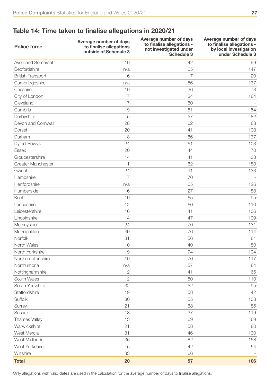## Table 14: Time taken to finalise allegations in 2020/21

| <b>Police force</b>      | Average number of days<br>to finalise allegations<br>outside of Schedule 3 | Average number of days<br>to finalise allegations -<br>not investigated under<br><b>Schedule 3</b> | Average number of days<br>to finalise allegations -<br>by local investigation<br>under Schedule 3 |
|--------------------------|----------------------------------------------------------------------------|----------------------------------------------------------------------------------------------------|---------------------------------------------------------------------------------------------------|
| Avon and Somerset        | 10                                                                         | 42                                                                                                 | 99                                                                                                |
| Bedfordshire             | n/a                                                                        | 65                                                                                                 | 147                                                                                               |
| <b>British Transport</b> | 6                                                                          | 17                                                                                                 | 20                                                                                                |
| Cambridgeshire           | n/a                                                                        | 56                                                                                                 | 137                                                                                               |
| Cheshire                 | 10                                                                         | 36                                                                                                 | 73                                                                                                |
| City of London           | 7                                                                          | 34                                                                                                 | 164                                                                                               |
| Cleveland                | 17                                                                         | 60                                                                                                 |                                                                                                   |
| Cumbria                  | 9                                                                          | 51                                                                                                 | 54                                                                                                |
| Derbyshire               | 5                                                                          | 57                                                                                                 | 82                                                                                                |
| Devon and Cornwall       | 28                                                                         | 62                                                                                                 | 88                                                                                                |
| Dorset                   | 20                                                                         | 41                                                                                                 | 103                                                                                               |
| Durham                   | 8                                                                          | 66                                                                                                 | 137                                                                                               |
| Dyfed-Powys              | 24                                                                         | 61                                                                                                 | 103                                                                                               |
| <b>Essex</b>             | 20                                                                         | 44                                                                                                 | 70                                                                                                |
| Gloucestershire          | 14                                                                         | 41                                                                                                 | 33                                                                                                |
| Greater Manchester       | 11                                                                         | 62                                                                                                 | 183                                                                                               |
| Gwent                    | 24                                                                         | 91                                                                                                 | 133                                                                                               |
| Hampshire                | 7                                                                          | 70                                                                                                 |                                                                                                   |
| Hertfordshire            | n/a                                                                        | 65                                                                                                 | 126                                                                                               |
| Humberside               | 6                                                                          | 27                                                                                                 | 88                                                                                                |
| Kent                     | 19                                                                         | 65                                                                                                 | 95                                                                                                |
| Lancashire               | 12                                                                         | 60                                                                                                 | 110                                                                                               |
| Leicestershire           | 16                                                                         | 41                                                                                                 | 106                                                                                               |
| Lincolnshire             | 4                                                                          | 47                                                                                                 | 109                                                                                               |
| Merseyside               | 24                                                                         | 70                                                                                                 | 131                                                                                               |
| Metropolitan             | 49                                                                         | 76                                                                                                 | 114                                                                                               |
| Norfolk                  | 31                                                                         | 56                                                                                                 | 81                                                                                                |
| North Wales              | 10                                                                         | 40                                                                                                 | 80                                                                                                |
| North Yorkshire          | 19                                                                         | 74                                                                                                 | 104                                                                                               |
| Northamptonshire         | 10                                                                         | 70                                                                                                 | 117                                                                                               |
| Northumbria              | n/a                                                                        | 57                                                                                                 | 84                                                                                                |
| Nottinghamshire          | 12                                                                         | 41                                                                                                 | 65                                                                                                |
| South Wales              | $\overline{2}$                                                             | 50                                                                                                 | 110                                                                                               |
| South Yorkshire          | 32                                                                         | 52                                                                                                 | 95                                                                                                |
| Staffordshire            | 19                                                                         | 58                                                                                                 | 42                                                                                                |
| Suffolk                  | 30                                                                         | 55                                                                                                 | 103                                                                                               |
| Surrey                   | 21                                                                         | 68                                                                                                 | 85                                                                                                |
| <b>Sussex</b>            | 18                                                                         | 37                                                                                                 | 119                                                                                               |
| Thames Valley            | 13                                                                         | 69                                                                                                 | 69                                                                                                |
| Warwickshire             | 21                                                                         | 58                                                                                                 | 80                                                                                                |
| West Mercia              | 31                                                                         | 46                                                                                                 | 130                                                                                               |
| <b>West Midlands</b>     | 36                                                                         | 82                                                                                                 | 158                                                                                               |
| West Yorkshire           | 5                                                                          | 42                                                                                                 | 54                                                                                                |
| Wiltshire                | 33                                                                         | 66                                                                                                 |                                                                                                   |
| <b>Total</b>             | 20                                                                         | 57                                                                                                 | 106                                                                                               |

Only allegations with valid dates are used in the calculation for the average number of days to finalise allegations.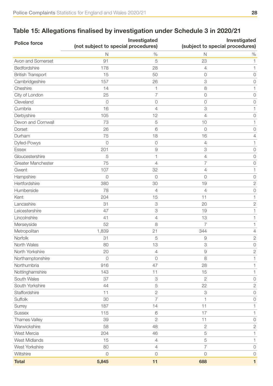# Table 15: Allegations finalised by investigation under Schedule 3 in 2020/21

| <b>Police force</b>      |                | Investigated                        | Investigated                   |                                 |  |
|--------------------------|----------------|-------------------------------------|--------------------------------|---------------------------------|--|
|                          |                | (not subject to special procedures) |                                | (subject to special procedures) |  |
|                          | $\mathsf{N}$   | $\%$                                | $\mathsf{N}$                   | $\%$                            |  |
| Avon and Somerset        | 91             | 5                                   | 23                             | 1                               |  |
| Bedfordshire             | 178            | 28                                  | $\overline{4}$                 | 1                               |  |
| <b>British Transport</b> | 15             | 50                                  | $\sqrt{a}$                     | 0                               |  |
| Cambridgeshire           | 157            | 26                                  | $\ensuremath{\mathcal{S}}$     | $\overline{O}$                  |  |
| Cheshire                 | 14             | $\mathbf{1}$                        | 8                              | 1                               |  |
| City of London           | 25             | 7                                   | $\circ$                        | 0                               |  |
| Cleveland                | $\circ$        | $\Omega$                            | $\Omega$                       | 0                               |  |
| Cumbria                  | 16             | 4                                   | $\ensuremath{\mathcal{S}}$     | 1                               |  |
| Derbyshire               | 105            | 12                                  | $\overline{4}$                 | $\overline{O}$                  |  |
| Devon and Cornwall       | 73             | 5                                   | 10                             | 1                               |  |
| Dorset                   | 26             | 6                                   | $\overline{O}$                 | $\circ$                         |  |
| Durham                   | 75             | 18                                  | 16                             | 4                               |  |
| Dyfed-Powys              | $\overline{O}$ | $\sqrt{a}$                          | 4                              | 1                               |  |
| <b>Essex</b>             | 201            | $\mathcal{G}$                       | 3                              | $\bigcirc$                      |  |
| Gloucestershire          | 5              | 1                                   | 4                              | $\circ$                         |  |
| Greater Manchester       | 75             | $\overline{4}$                      | 7                              | $\bigcirc$                      |  |
| Gwent                    | 107            | 32                                  | 4                              | 1                               |  |
| Hampshire                | $\circ$        | $\sqrt{a}$                          | $\sqrt{a}$                     | $\bigcirc$                      |  |
| Hertfordshire            | 380            | 30                                  | 19                             | $\mathbf{2}$                    |  |
| Humberside               | 78             | 4                                   | 4                              | $\bigcirc$                      |  |
| Kent                     | 204            | 15                                  | 11                             | 1                               |  |
| Lancashire               | 31             | 3                                   | 20                             | $\mathbf 2$                     |  |
| Leicestershire           | 47             | 3                                   | 19                             | 1                               |  |
| Lincolnshire             | 41             | 4                                   | 13                             | 1                               |  |
| Merseyside               | 52             | 8                                   | 7                              | 1                               |  |
| Metropolitan             | 1,839          | 21                                  | 344                            | 4                               |  |
| Norfolk                  | 31             | 5                                   | $\Theta$                       | $\sqrt{2}$                      |  |
| North Wales              | 80             | 13                                  | $\ensuremath{\mathsf{3}}$      | $\bigcirc$                      |  |
| North Yorkshire          | 20             | $\overline{4}$                      | $\mathcal{G}% _{0}$            | $\sqrt{2}$                      |  |
| Northamptonshire         | $\overline{0}$ | $\overline{0}$                      | 8                              | 1                               |  |
| Northumbria              | 916            | 47                                  | 28                             |                                 |  |
|                          | 143            | 11                                  | 15                             | 1                               |  |
| Nottinghamshire          |                |                                     |                                | 1                               |  |
| South Wales              | 37             | $\ensuremath{\mathsf{3}}$           | $\mathbf{2}$                   | $\bigcirc$                      |  |
| South Yorkshire          | 44             | 5                                   | 22                             | $\mathbf{2}$                    |  |
| Staffordshire            | 11             | $\mathbf 2$                         | $\ensuremath{\mathsf{3}}$<br>1 | $\bigcirc$                      |  |
| Suffolk                  | 30             | $\overline{7}$                      |                                | $\circ$                         |  |
| Surrey                   | 187            | 14                                  | 11                             |                                 |  |
| <b>Sussex</b>            | 115            | $6\,$                               | 17                             | 1                               |  |
| Thames Valley            | 39             | $\mathbf 2$                         | 11                             | $\bigcirc$                      |  |
| Warwickshire             | 58             | 48                                  | $\sqrt{2}$                     | $\mathbf{2}$                    |  |
| West Mercia              | 204            | 46                                  | 5                              | 1                               |  |
| <b>West Midlands</b>     | 15             | $\overline{4}$                      | 5                              | 1                               |  |
| West Yorkshire           | 80             | $\overline{4}$                      | 7                              | $\bigcirc$                      |  |
| Wiltshire                | $\overline{0}$ | $\sqrt{a}$                          | $\Omega$                       | $\circ$                         |  |
| <b>Total</b>             | 5,845          | 11                                  | 688                            | 1                               |  |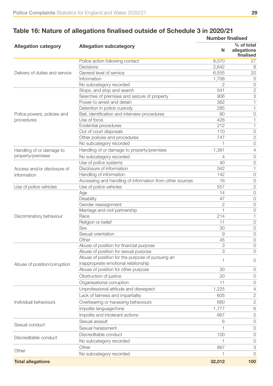|                                |                                                          | <b>Number finalised</b> |                                        |  |
|--------------------------------|----------------------------------------------------------|-------------------------|----------------------------------------|--|
| <b>Allegation category</b>     | <b>Allegation subcategory</b>                            | N                       | % of total<br>allegations<br>finalised |  |
|                                | Police action following contact                          | 8,570                   | 27                                     |  |
|                                | Decisions                                                | 2,642                   | 8                                      |  |
| Delivery of duties and service | General level of service                                 | 6,555                   | 20                                     |  |
|                                | Information                                              | 1,708                   | 5                                      |  |
|                                | No subcategory recorded                                  | $\overline{2}$          | 0                                      |  |
|                                | Stops, and stop and search                               | 541                     | $\mathbf{2}$                           |  |
|                                | Searches of premises and seizure of property             | 906                     | 3                                      |  |
|                                | Power to arrest and detain                               | 382                     | 1                                      |  |
|                                | Detention in police custody                              | 285                     | $\mathbf{1}$                           |  |
| Police powers, policies and    | Bail, identification and interview procedures            | 80                      | 0                                      |  |
| procedures                     | Use of force                                             | 428                     | $\mathbf{1}$                           |  |
|                                | Evidential procedures                                    | 212                     | $\mathbf{1}$                           |  |
|                                | Out of court disposals                                   | 110                     | $\bigcirc$                             |  |
|                                | Other policies and procedures                            | 747                     | $\mathbf{2}$                           |  |
|                                | No subcategory recorded                                  | $\mathbf 1$             | $\bigcirc$                             |  |
| Handling of or damage to       | Handling of or damage to property/premises               | 1,391                   | $\overline{4}$                         |  |
| property/premises              | No subcategory recorded                                  | 4                       | $\overline{O}$                         |  |
|                                | Use of police systems                                    | 40                      | $\circ$                                |  |
| Access and/or disclosure of    | Disclosure of information                                | 342                     | $\mathbf{1}$                           |  |
| information                    | Handling of information                                  | 142                     | $\bigcirc$                             |  |
|                                | Accessing and handling of information from other sources | 16                      | $\circ$                                |  |
| Use of police vehicles         | Use of police vehicles                                   | 557                     | $\mathbf{2}$                           |  |
|                                | Age                                                      | 14                      | $\bigcirc$                             |  |
|                                | Disability                                               | 47                      | 0                                      |  |
|                                | Gender reassignment                                      | $\mathbf{2}$            | 0                                      |  |
|                                | Marriage and civil partnership                           | $\mathbf{1}$            | $\bigcirc$                             |  |
| Discriminatory behaviour       | Race                                                     | 214                     | $\mathbf{1}$                           |  |
|                                | Religion or belief                                       | 11                      | $\circ$                                |  |
|                                | Sex                                                      | 30                      | $\circ$                                |  |
|                                | Sexual orientation                                       | 9                       | 0                                      |  |
|                                | Other                                                    | 45                      | 0                                      |  |
|                                | Abuse of position for financial purpose                  | 3                       | 0                                      |  |
|                                | Abuse of position for sexual purpose                     | 3                       | 0                                      |  |
|                                | Abuse of position for the purpose of pursuing an         | 1                       | 0                                      |  |
| Abuse of position/corruption   | inappropriate emotional relationship                     |                         |                                        |  |
|                                | Abuse of position for other purpose                      | 30                      | 0                                      |  |
|                                | Obstruction of justice                                   | 20                      | 0                                      |  |
|                                | Organisational corruption                                | 11                      | 0                                      |  |
|                                | Unprofessional attitude and disrespect                   | 1,225                   | 4                                      |  |
|                                | Lack of fairness and impartiality                        | 605                     | 2                                      |  |
| Individual behaviours          | Overbearing or harassing behaviours                      | 660                     | 2                                      |  |
|                                | Impolite language/tone                                   | 1,777                   | 6                                      |  |
|                                | Impolite and intolerant actions                          | 667                     | $\sqrt{2}$                             |  |
| Sexual conduct                 | Sexual assault                                           | 6                       | 0                                      |  |
|                                | Sexual harassment                                        |                         | 0                                      |  |
|                                | Discreditable conduct                                    | 100                     | $\circ$                                |  |
| Discreditable conduct          | No subcategory recorded                                  | $\mathbf 1$             | 0                                      |  |
|                                | Other                                                    | 867                     | 3                                      |  |
| Other                          | No subcategory recorded                                  | 1                       | 0                                      |  |
| <b>Total allegations</b>       |                                                          | 32,012                  | 100                                    |  |

## Table 16: Nature of allegations finalised outside of Schedule 3 in 2020/21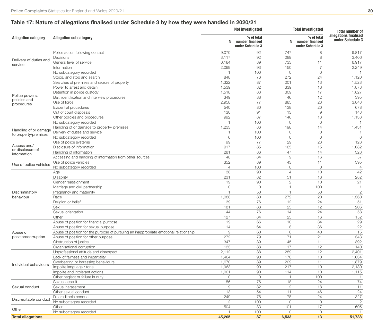# Table 17: Nature of allegations finalised under Schedule 3 by how they were handled in 2020/21

|                            |                                                                                       |                | <b>Not investigated</b>                            |                | <b>Total investigated</b>                          | <b>Total number of</b>                    |
|----------------------------|---------------------------------------------------------------------------------------|----------------|----------------------------------------------------|----------------|----------------------------------------------------|-------------------------------------------|
| <b>Allegation category</b> | <b>Allegation subcategory</b>                                                         | N.             | % of total<br>number finalised<br>under Schedule 3 | N.             | % of total<br>number finalised<br>under Schedule 3 | allegations finalised<br>under Schedule 3 |
|                            | Police action following contact                                                       | 9,070          | 92                                                 | 747            | 8                                                  | 9,817                                     |
| Delivery of duties and     | Decisions                                                                             | 3,117          | 92                                                 | 289            | 8                                                  | 3,406                                     |
|                            | General level of service                                                              | 6,184          | 89                                                 | 733            | 11                                                 | 6,917                                     |
| service                    | Information                                                                           | 2,099          | 93                                                 | 150            | $\overline{7}$                                     | 2,249                                     |
|                            | No subcategory recorded                                                               |                | 100                                                | $\Omega$       | $\Omega$                                           |                                           |
|                            | Stops, and stop and search                                                            | 848            | 76                                                 | 272            | 24                                                 | 1,120                                     |
|                            | Searches of premises and seizure of property                                          | 1,322          | 87                                                 | 201            | 13                                                 | 1,523                                     |
|                            | Power to arrest and detain                                                            | 1,539          | 82                                                 | 339            | 18                                                 | 1,878                                     |
|                            | Detention in police custody                                                           | 1,518          | 83                                                 | 309            | 17                                                 | 1,827                                     |
| Police powers,             | Bail, identification and interview procedures                                         | 349            | 88                                                 | 46             | 12                                                 | 395                                       |
| policies and               | Use of force                                                                          | 2,958          | 77                                                 | 885            | 23                                                 | 3,843                                     |
| procedures                 | Evidential procedures                                                                 | 540            | 80                                                 | 138            | 20                                                 | 678                                       |
|                            | Out of court disposals                                                                | 130            | 91                                                 | 13             | 9                                                  | 143                                       |
|                            | Other policies and procedures                                                         | 992            | 87                                                 | 146            | 13                                                 | 1,138                                     |
|                            | No subcategory recorded                                                               |                | 100                                                | $\circ$        | $\overline{O}$                                     |                                           |
|                            |                                                                                       | 1,233          | 86                                                 | 198            |                                                    |                                           |
| Handling of or damage      | Handling of or damage to property/ premises                                           |                |                                                    |                | 14                                                 | 1,431                                     |
| to property/premises       | Delivery of duties and service                                                        |                | 100                                                | $\Omega$       | $\Omega$                                           |                                           |
|                            | No subcategory recorded                                                               | 6              | 100                                                | $\circ$        | $\Omega$                                           | 6                                         |
| Access and/                | Use of police systems                                                                 | 99             | 77                                                 | 29             | 23                                                 | 128                                       |
| or disclosure of           | Disclosure of information                                                             | 917            | 85                                                 | 165            | 15                                                 | 1,082                                     |
| information                | Handling of information                                                               | 281            | 86                                                 | 47             | 14                                                 | 328                                       |
|                            | Accessing and handling of information from other sources                              | 48             | 84                                                 | 9              | 16                                                 | 57                                        |
| Use of police vehicles     | Use of police vehicles                                                                | 352            | 89                                                 | 43             | 11                                                 | 395                                       |
|                            | No subcategory recorded                                                               | $\overline{4}$ | 100                                                | $\circ$        | $\overline{0}$                                     | $\Delta$                                  |
|                            | Age                                                                                   | 38             | 90                                                 | $\overline{4}$ | 10                                                 | 42                                        |
|                            | Disability                                                                            | 231            | 82                                                 | 51             | 18                                                 | 282                                       |
|                            | Gender reassignment                                                                   | 19             | 90                                                 | $\overline{2}$ | 10                                                 | 21                                        |
|                            | Marriage and civil partnership                                                        | $\circ$        | $\overline{0}$                                     |                | 100                                                |                                           |
| Discriminatory             | Pregnancy and maternity                                                               |                | 50                                                 |                | 50                                                 | $\mathbf{2}$                              |
| behaviour                  | Race                                                                                  | 1,088          | 80                                                 | 272            | 20                                                 | 1,360                                     |
|                            | Religion or belief                                                                    | 39             | 76                                                 | 12             | 24                                                 | 51                                        |
|                            | Sex                                                                                   | 181            | 88                                                 | 25             | 12                                                 | 206                                       |
|                            | Sexual orientation                                                                    | 44             | 76                                                 | 14             | 24                                                 | 58                                        |
|                            | Other                                                                                 | 127            | 84                                                 | 25             | 16                                                 | 152                                       |
|                            | Abuse of position for financial purpose                                               | 19             | 66                                                 | 10             | 34                                                 | 29                                        |
|                            | Abuse of position for sexual purpose                                                  | 14             | 64                                                 | 8              | 36                                                 | 22                                        |
| Abuse of                   | Abuse of position for the purpose of pursuing an inappropriate emotional relationship | $\Theta$       | 60                                                 | 6              | 40                                                 | 15                                        |
| position/corruption        | Abuse of position for other purpose                                                   | 272            | 79                                                 | 71             | 21                                                 | 343                                       |
|                            | Obstruction of justice                                                                | 347            | 89                                                 | 45             | 11                                                 | 392                                       |
|                            | Organisational corruption                                                             | 123            | 88                                                 | 17             | 12                                                 | 140                                       |
|                            | Unprofessional attitude and disrespect                                                | 2,112          | 88                                                 | 289            | 12                                                 | 2,401                                     |
|                            | Lack of fairness and impartiality                                                     | 1,464          | 90                                                 | 170            | 10                                                 | 1,634                                     |
|                            | Overbearing or harassing behaviours                                                   | 1,670          | 89                                                 | 209            | 11                                                 | 1,879                                     |
| Individual behaviours      | Impolite language / tone                                                              | 1,963          | 90                                                 | 217            | 10                                                 | 2,180                                     |
|                            | Impolite and intolerant actions                                                       | 1,001          | 90                                                 | 114            | 10                                                 | 1,115                                     |
|                            |                                                                                       |                |                                                    |                |                                                    |                                           |
|                            | Other neglect or failure in duty                                                      | $\circ$        | $\overline{0}$                                     |                | 100                                                |                                           |
|                            | Sexual assault                                                                        | 56             | 76                                                 | 18             | 24                                                 | 74                                        |
| Sexual conduct             | Sexual harassment                                                                     | $\Theta$       | 82                                                 | $\overline{2}$ | 18                                                 | 11                                        |
|                            | Other sexual conduct                                                                  | 13             | 54                                                 | 11             | 46                                                 | 24                                        |
| Discreditable conduct      | Discreditable conduct                                                                 | 249            | 76                                                 | 78             | 24                                                 | 327                                       |
|                            | No subcategory recorded                                                               | $\overline{2}$ | 100                                                | $\overline{O}$ | $\overline{0}$                                     | $\overline{2}$                            |
| Other                      | Other                                                                                 | 504            | 83                                                 | 101            | 17                                                 | 605                                       |
|                            | No subcategory recorded                                                               |                | 100                                                | $\Omega$       | $\circ$                                            |                                           |
| <b>Total allegations</b>   |                                                                                       | 45,205         | 87                                                 | 6,533          | 13                                                 | 51,738                                    |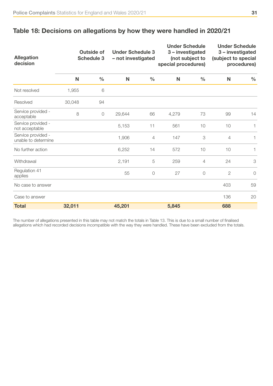| <b>Allegation</b><br>decision             |        | <b>Outside of</b><br><b>Schedule 3</b> |        | <b>Under Schedule 3</b><br>- not investigated |       | <b>Under Schedule</b><br>3 - investigated<br>(not subject to<br>special procedures) |                | <b>Under Schedule</b><br>3 - investigated<br>(subject to special<br>procedures) |  |
|-------------------------------------------|--------|----------------------------------------|--------|-----------------------------------------------|-------|-------------------------------------------------------------------------------------|----------------|---------------------------------------------------------------------------------|--|
|                                           | N      | $\frac{0}{0}$                          | N      | $\frac{0}{0}$                                 | N     | $\frac{0}{0}$                                                                       | N              | $\frac{0}{0}$                                                                   |  |
| Not resolved                              | 1,955  | 6                                      |        |                                               |       |                                                                                     |                |                                                                                 |  |
| Resolved                                  | 30,048 | 94                                     |        |                                               |       |                                                                                     |                |                                                                                 |  |
| Service provided -<br>acceptable          | 8      | $\circ$                                | 29,644 | 66                                            | 4,279 | 73                                                                                  | 99             | 14                                                                              |  |
| Service provided -<br>not acceptable      |        |                                        | 5,153  | 11                                            | 561   | 10                                                                                  | 10             | 1                                                                               |  |
| Service provided -<br>unable to determine |        |                                        | 1,906  | 4                                             | 147   | 3                                                                                   | 4              | 1                                                                               |  |
| No further action                         |        |                                        | 6,252  | 14                                            | 572   | 10                                                                                  | 10             | 1                                                                               |  |
| Withdrawal                                |        |                                        | 2,191  | 5                                             | 259   | $\overline{4}$                                                                      | 24             | 3                                                                               |  |
| Regulation 41<br>applies                  |        |                                        | 55     | $\mathcal{O}$                                 | 27    | $\overline{O}$                                                                      | $\overline{2}$ | $\overline{O}$                                                                  |  |
| No case to answer                         |        |                                        |        |                                               |       |                                                                                     | 403            | 59                                                                              |  |
| Case to answer                            |        |                                        |        |                                               |       |                                                                                     | 136            | 20                                                                              |  |
| <b>Total</b>                              | 32,011 |                                        | 45,201 |                                               | 5,845 |                                                                                     | 688            |                                                                                 |  |

#### Table 18: Decisions on allegations by how they were handled in 2020/21

The number of allegations presented in this table may not match the totals in Table 13. This is due to a small number of finalised allegations which had recorded decisions incompatible with the way they were handled. These have been excluded from the totals.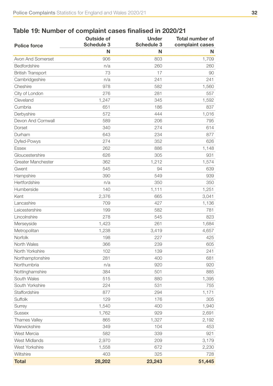## Table 19: Number of complaint cases finalised in 2020/21

|                           | <b>Outside of</b><br><b>Schedule 3</b> | <b>Under</b><br><b>Schedule 3</b> | <b>Total number of</b> |
|---------------------------|----------------------------------------|-----------------------------------|------------------------|
| <b>Police force</b>       | N                                      | N                                 | complaint cases<br>N   |
| Avon And Somerset         | 906                                    | 803                               | 1,709                  |
| Bedfordshire              | n/a                                    | 260                               | 260                    |
| <b>British Transport</b>  | 73                                     | 17                                | 90                     |
| Cambridgeshire            | n/a                                    | 241                               | 241                    |
| Cheshire                  | 978                                    | 582                               | 1,560                  |
| City of London            | 276                                    | 281                               | 557                    |
| Cleveland                 | 1,247                                  | 345                               | 1,592                  |
| Cumbria                   | 651                                    | 186                               | 837                    |
| Derbyshire                | 572                                    | 444                               | 1,016                  |
| Devon And Cornwall        | 589                                    | 206                               | 795                    |
| Dorset                    | 340                                    | 274                               | 614                    |
| Durham                    | 643                                    | 234                               | 877                    |
| Dyfed-Powys               | 274                                    | 352                               | 626                    |
| <b>Essex</b>              | 262                                    | 886                               | 1,148                  |
| Gloucestershire           | 626                                    | 305                               | 931                    |
| <b>Greater Manchester</b> | 362                                    | 1,212                             | 1,574                  |
| Gwent                     | 545                                    | 94                                | 639                    |
| Hampshire                 | 390                                    | 549                               | 939                    |
| Hertfordshire             | n/a                                    | 350                               | 350                    |
| Humberside                | 140                                    | 1,111                             | 1,251                  |
| Kent                      | 2,376                                  | 665                               | 3,041                  |
| Lancashire                | 709                                    | 427                               | 1,136                  |
| Leicestershire            | 199                                    | 582                               | 781                    |
| Lincolnshire              | 278                                    | 545                               | 823                    |
| Merseyside                | 1,423                                  | 261                               | 1,684                  |
| Metropolitan              | 1,238                                  | 3,419                             | 4,657                  |
| Norfolk                   | 198                                    | 227                               | 425                    |
| North Wales               | 366                                    | 239                               | 605                    |
| North Yorkshire           | 102                                    | 139                               | 241                    |
| Northamptonshire          | 281                                    | 400                               | 681                    |
| Northumbria               | n/a                                    | 920                               | 920                    |
| Nottinghamshire           | 384                                    | 501                               | 885                    |
| South Wales               | 515                                    | 880                               | 1,395                  |
| South Yorkshire           | 224                                    | 531                               | 755                    |
| Staffordshire             | 877                                    | 294                               | 1,171                  |
| Suffolk                   | 129                                    | 176                               | 305                    |
| Surrey                    | 1,540                                  | 400                               | 1,940                  |
| <b>Sussex</b>             | 1,762                                  | 929                               | 2,691                  |
| <b>Thames Valley</b>      | 865                                    | 1,327                             | 2,192                  |
| Warwickshire              | 349                                    | 104                               | 453                    |
| West Mercia               | 582                                    | 339                               | 921                    |
| <b>West Midlands</b>      | 2,970                                  | 209                               | 3,179                  |
| West Yorkshire            | 1,558                                  | 672                               | 2,230                  |
| Wiltshire                 | 403                                    | 325                               | 728                    |
| <b>Total</b>              | 28,202                                 | 23,243                            | 51,445                 |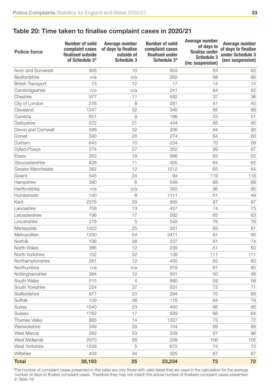#### Table 20: Time taken to finalise complaint cases in 2020/21

| <b>Police force</b>       | <b>Number of valid</b><br>complaint cases<br>finalised outside<br>of Schedule 3* | <b>Average number</b><br>of days to finalise<br>outside of<br><b>Schedule 3</b> | <b>Number of valid</b><br>complaint cases<br>finalised under<br>Schedule 3* | <b>Average number</b><br>of days to<br>finalise under<br><b>Schedule 3</b><br>(inc suspension) | <b>Average number</b><br>of days to finalise<br>under Schedule 3<br>(exc suspension) |
|---------------------------|----------------------------------------------------------------------------------|---------------------------------------------------------------------------------|-----------------------------------------------------------------------------|------------------------------------------------------------------------------------------------|--------------------------------------------------------------------------------------|
| Avon and Somerset         | 906                                                                              | 10                                                                              | 803                                                                         | 63                                                                                             | 62                                                                                   |
| Bedfordshire              | n/a                                                                              | n/a                                                                             | 260                                                                         | 88                                                                                             | 88                                                                                   |
| <b>British Transport</b>  | 73                                                                               | 12                                                                              | 17                                                                          | 14                                                                                             | 14                                                                                   |
| Cambridgeshire            | n/a                                                                              | n/a                                                                             | 241                                                                         | 84                                                                                             | 82                                                                                   |
| Cheshire                  | 977                                                                              | 11                                                                              | 582                                                                         | 37                                                                                             | 36                                                                                   |
| City of London            | 276                                                                              | 8                                                                               | 281                                                                         | 41                                                                                             | 40                                                                                   |
| Cleveland                 | 1247                                                                             | 32                                                                              | 345                                                                         | 95                                                                                             | 88                                                                                   |
| Cumbria                   | 651                                                                              | $\overline{9}$                                                                  | 186                                                                         | 53                                                                                             | 51                                                                                   |
| Derbyshire                | 572                                                                              | 21                                                                              | 444                                                                         | 85                                                                                             | 85                                                                                   |
| Devon and Cornwall        | 589                                                                              | 32                                                                              | 206                                                                         | 94                                                                                             | 90                                                                                   |
| Dorset                    | 340                                                                              | 26                                                                              | 274                                                                         | 64                                                                                             | 60                                                                                   |
| Durham                    | 643                                                                              | 10                                                                              | 234                                                                         | 70                                                                                             | 69                                                                                   |
| Dyfed-Powys               | 274                                                                              | 27                                                                              | 352                                                                         | 89                                                                                             | 87                                                                                   |
| <b>Essex</b>              | 262                                                                              | 19                                                                              | 886                                                                         | 63                                                                                             | 62                                                                                   |
| Gloucestershire           | 626                                                                              | 11                                                                              | 305                                                                         | 64                                                                                             | 62                                                                                   |
| <b>Greater Manchester</b> | 362                                                                              | 12                                                                              | 1212                                                                        | 65                                                                                             | 64                                                                                   |
| Gwent                     | 545                                                                              | 24                                                                              | 94                                                                          | 119                                                                                            | 118                                                                                  |
| Hampshire                 | 390                                                                              | 6                                                                               | 549                                                                         | 68                                                                                             | 68                                                                                   |
| Hertfordshire             | n/a                                                                              | n/a                                                                             | 350                                                                         | 96                                                                                             | 95                                                                                   |
| Humberside                | 140                                                                              | 8                                                                               | 1111                                                                        | 51                                                                                             | 49                                                                                   |
| Kent                      | 2376                                                                             | 29                                                                              | 665                                                                         | 87                                                                                             | 87                                                                                   |
| Lancashire                | 709                                                                              | 13                                                                              | 427                                                                         | 74                                                                                             | 73                                                                                   |
| Leicestershire            | 199                                                                              | 17                                                                              | 582                                                                         | 65                                                                                             | 63                                                                                   |
| Lincolnshire              | 278                                                                              | 5                                                                               | 545                                                                         | 76                                                                                             | 76                                                                                   |
| Merseyside                | 1423                                                                             | 25                                                                              | 261                                                                         | 83                                                                                             | 81                                                                                   |
| Metropolitan              | 1230                                                                             | 54                                                                              | 3411                                                                        | 91                                                                                             | 90                                                                                   |
| Norfolk                   | 198                                                                              | 38                                                                              | 227                                                                         | 81                                                                                             | 74                                                                                   |
| North Wales               | 366                                                                              | 12                                                                              | 239                                                                         | 51                                                                                             | 50                                                                                   |
| North Yorkshire           | 102                                                                              | 22                                                                              | 139                                                                         | 111                                                                                            | 111                                                                                  |
| Northamptonshire          | 281                                                                              | 12                                                                              | 400                                                                         | 83                                                                                             | 83                                                                                   |
| Northumbria               | n/a                                                                              | n/a                                                                             | 919                                                                         | 81                                                                                             | 80                                                                                   |
| Nottinghamshire           | 384                                                                              | 12                                                                              | 501                                                                         | 50                                                                                             | 48                                                                                   |
| South Wales               | 515                                                                              | 4                                                                               | 880                                                                         | 59                                                                                             | 58                                                                                   |
| South Yorkshire           | 224                                                                              | 37                                                                              | 531                                                                         | 72                                                                                             | 71                                                                                   |
| Staffordshire             | 877                                                                              | 23                                                                              | 294                                                                         | 70                                                                                             | 69                                                                                   |
| Suffolk                   | 129                                                                              | 38                                                                              | 176                                                                         | 84                                                                                             | 79                                                                                   |
| Surrey                    | 1540                                                                             | 23                                                                              | 400                                                                         | 66                                                                                             | 66                                                                                   |
| <b>Sussex</b>             | 1762                                                                             | 17                                                                              | 929                                                                         | 66                                                                                             | 64                                                                                   |
| <b>Thames Valley</b>      | 865                                                                              | 14                                                                              | 1327                                                                        | 73                                                                                             | 72                                                                                   |
| Warwickshire              | 349                                                                              | 28                                                                              | 104                                                                         | 69                                                                                             | 68                                                                                   |
| West Mercia               | 582                                                                              | 33                                                                              | 339                                                                         | 97                                                                                             | 96                                                                                   |
| <b>West Midlands</b>      | 2970                                                                             | 58                                                                              | 209                                                                         | 106                                                                                            | 105                                                                                  |
| West Yorkshire            | 1558                                                                             | 5                                                                               | 672                                                                         | 74                                                                                             | 72                                                                                   |
| Wiltshire                 | 403                                                                              | 34                                                                              | 325                                                                         | 67                                                                                             | 67                                                                                   |
| <b>Total</b>              | 28,193                                                                           | 25                                                                              | 23,234                                                                      | 73                                                                                             | 72                                                                                   |

\*The number of complaint cases presented in this table are only those with valid dates that are used in the calculation for the average number of days to finalise complaint cases. Therefore they may not match the actual number of finalised complaint cases presented in Table 19.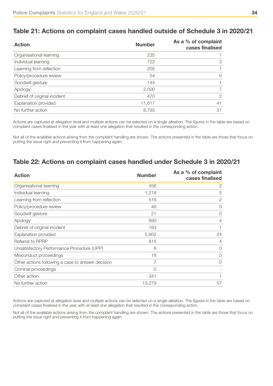### Table 21: Actions on complaint cases handled outside of Schedule 3 in 2020/21

| <b>Action</b>                | <b>Number</b> | As a % of complaint<br>cases finalised |
|------------------------------|---------------|----------------------------------------|
| Organisational learning      | 235           |                                        |
| Individual learning          | 722           | 3                                      |
| Learning from reflection     | 205           |                                        |
| Policy/procedure review      | 54            | $\Omega$                               |
| Goodwill gesture             | 144           |                                        |
| Apology                      | 2,000         |                                        |
| Debrief of original incident | 470           | 2                                      |
| <b>Explanation provided</b>  | 11,617        | 41                                     |
| No further action            | 8,793         | 31                                     |
|                              |               |                                        |

Actions are captured at allegation level and multiple actions can be selected on a single alleation. The figures in the table are based on complaint cases finalised in the year with at least one allegation that resulted in the corresponding action.

Not all of the available actions arising from the complaint handling are shown. The actions presented in the table are those that focus on putting the issue right and preventing it from happening again.

#### Table 22: Actions on complaint cases handled under Schedule 3 in 2020/21

| <b>Action</b>                                     | <b>Number</b> | As a % of complaint<br>cases finalised |
|---------------------------------------------------|---------------|----------------------------------------|
| Organisational learning                           | 456           | 2                                      |
| Individual learning                               | 1,218         | 5                                      |
| Learning from reflection                          | 516           | $\overline{2}$                         |
| Policy/procedure review                           | 48            | $\mathcal{O}$                          |
| Goodwill gesture                                  | 21            | $\Omega$                               |
| Apology                                           | 890           | $\overline{4}$                         |
| Debrief of original incident                      | 183           |                                        |
| <b>Explanation provided</b>                       | 5,602         | 24                                     |
| Referral to RPRP                                  | 815           | $\overline{4}$                         |
| Unsatisfactory Performance Procedure (UPP)        | 6             | $\Omega$                               |
| Misconduct proceedings                            | 18            | $\Omega$                               |
| Other actions following a case to answer decision | 7             | $\Omega$                               |
| Criminal proceedings                              | $\mathcal{O}$ |                                        |
| Other action                                      | 341           |                                        |
| No further action                                 | 13,279        | 57                                     |

Actions are captured at allegation level and multiple actions can be selected on a single alleation. The figures in the table are based on complaint cases finalised in the year with at least one allegation that resulted in the corresponding action.

Not all of the available actions arising from the complaint handling are shown. The actions presented in the table are those that focus on putting the issue right and preventing it from happening again.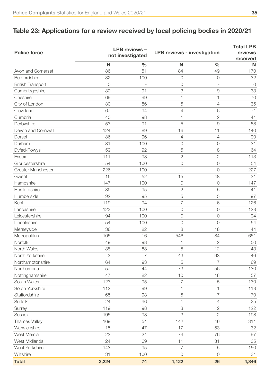# Table 23: Applications for a review received by local policing bodies in 2020/21

| <b>Police force</b>      |         | LPB reviews -<br>not investigated |                | <b>LPB reviews - investigation</b> |         |  |
|--------------------------|---------|-----------------------------------|----------------|------------------------------------|---------|--|
|                          | N       | $\frac{0}{0}$                     | N              | $\frac{0}{0}$                      | N       |  |
| Avon and Somerset        | 86      | 51                                | 84             | 49                                 | 170     |  |
| Bedfordshire             | 32      | 100                               | $\circ$        | $\circ$                            | 32      |  |
| <b>British Transport</b> | $\circ$ |                                   | $\overline{O}$ |                                    | $\circ$ |  |
| Cambridgeshire           | 30      | 91                                | 3              | $\Theta$                           | 33      |  |
| Cheshire                 | 69      | 99                                | $\mathbf 1$    | 1                                  | 70      |  |
| City of London           | 30      | 86                                | 5              | 14                                 | 35      |  |
| Cleveland                | 67      | 94                                | $\overline{4}$ | 6                                  | 71      |  |
| Cumbria                  | 40      | 98                                | $\mathbf{1}$   | $\mathbf{2}$                       | 41      |  |
| Derbyshire               | 53      | 91                                | 5              | 9                                  | 58      |  |
| Devon and Cornwall       | 124     | 89                                | 16             | 11                                 | 140     |  |
| Dorset                   | 86      | 96                                | $\overline{4}$ | 4                                  | 90      |  |
| Durham                   | 31      | 100                               | $\bigcirc$     | $\circ$                            | 31      |  |
| Dyfed-Powys              | 59      | 92                                | 5              | 8                                  | 64      |  |
| <b>Essex</b>             | 111     | 98                                | $\mathbf{2}$   | 2                                  | 113     |  |
| Gloucestershire          | 54      | 100                               | 0              | $\circ$                            | 54      |  |
| Greater Manchester       | 226     | 100                               | $\mathbf 1$    | $\circ$                            | 227     |  |
| Gwent                    | 16      | 52                                | 15             | 48                                 | 31      |  |
| Hampshire                | 147     | 100                               | $\circ$        | $\circ$                            | 147     |  |
| Hertfordshire            | 39      | 95                                | $\mathbf{2}$   | 5                                  | 41      |  |
| Humberside               | 92      | 95                                | 5              | 5                                  | 97      |  |
| Kent                     | 119     | 94                                | $\overline{7}$ | 6                                  | 126     |  |
| Lancashire               | 123     | 100                               | $\bigcirc$     | $\overline{O}$                     | 123     |  |
| Leicestershire           | 94      | 100                               | $\overline{O}$ | $\circ$                            | 94      |  |
| Lincolnshire             | 54      | 100                               | 0              | $\Omega$                           | 54      |  |
| Merseyside               | 36      | 82                                | 8              | 18                                 | 44      |  |
| Metropolitan             | 105     | 16                                | 546            | 84                                 | 651     |  |
| Norfolk                  | 49      | 98                                | 1              | 2                                  | 50      |  |
| North Wales              | 38      | 88                                | 5              | 12                                 | 43      |  |
| North Yorkshire          | 3       | $\overline{7}$                    | 43             | 93                                 | 46      |  |
| Northamptonshire         | 64      | 93                                | 5              | 7                                  | 69      |  |
| Northumbria              | 57      | 44                                | 73             | 56                                 | 130     |  |
| Nottinghamshire          | 47      | 82                                | 10             | 18                                 | 57      |  |
| South Wales              | 123     | 95                                | 7              | 5                                  | 130     |  |
| South Yorkshire          | 112     | 99                                | 1              | 1                                  | 113     |  |
| Staffordshire            | 65      | 93                                | 5              | 7                                  | 70      |  |
| Suffolk                  | 24      | 96                                | $\mathbf{1}$   | $\overline{4}$                     | 25      |  |
| Surrey                   | 119     | 98                                | 3              | $\overline{2}$                     | 122     |  |
| <b>Sussex</b>            | 195     | 98                                | 3              | $\overline{2}$                     | 198     |  |
| Thames Valley            | 169     | 54                                | 142            | 46                                 | 311     |  |
| Warwickshire             | 15      | 47                                | 17             | 53                                 | 32      |  |
| West Mercia              | 23      | 24                                | 74             | 76                                 | 97      |  |
| West Midlands            | 24      | 69                                | 11             | 31                                 | 35      |  |
| West Yorkshire           | 143     | 95                                | $\overline{7}$ | 5                                  | 150     |  |
| Wiltshire                | 31      | 100                               | $\mathsf O$    | $\circ$                            | 31      |  |
| <b>Total</b>             | 3,224   | 74                                | 1,122          | 26                                 | 4,346   |  |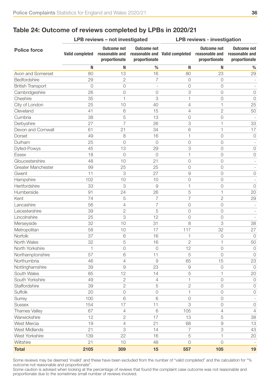| Table 24: Outcome of reviews completed by LPBs in 2020/21 |  |  |  |  |
|-----------------------------------------------------------|--|--|--|--|
|-----------------------------------------------------------|--|--|--|--|

|                           |                        | LPB reviews - not investigated                        |                                     |                                | <b>LPB reviews - investigation</b>                    |                                                       |  |
|---------------------------|------------------------|-------------------------------------------------------|-------------------------------------|--------------------------------|-------------------------------------------------------|-------------------------------------------------------|--|
| <b>Police force</b>       | <b>Valid completed</b> | <b>Outcome not</b><br>reasonable and<br>proportionate | <b>Outcome not</b><br>proportionate | reasonable and Valid completed | <b>Outcome not</b><br>reasonable and<br>proportionate | <b>Outcome not</b><br>reasonable and<br>proportionate |  |
|                           | N                      | N                                                     | %                                   | N                              | N                                                     | $\%$                                                  |  |
| Avon and Somerset         | 80                     | 13                                                    | 16                                  | 80                             | 23                                                    | 29                                                    |  |
| Bedfordshire              | 29                     | $\mathbf{2}$                                          | 7                                   | $\circ$                        | $\overline{0}$                                        |                                                       |  |
| <b>British Transport</b>  | 0                      | $\bigcirc$                                            | $\bar{a}$                           | 0                              | 0                                                     |                                                       |  |
| Cambridgeshire            | 26                     | $\bigcirc$                                            | $\bigcirc$                          | 3                              | $\bigcirc$                                            | $\bigcirc$                                            |  |
| Cheshire                  | 35                     | 1                                                     | 3                                   | 1                              | 0                                                     | $\Omega$                                              |  |
| City of London            | 25                     | 10                                                    | 40                                  | 4                              | 1                                                     | 25                                                    |  |
| Cleveland                 | 41                     | 6                                                     | 15                                  | 4                              | $\mathbf{2}$                                          | 50                                                    |  |
| Cumbria                   | 38                     | 5                                                     | 13                                  | $\bigcirc$                     | 0                                                     |                                                       |  |
| Derbyshire                | 27                     | 7                                                     | 26                                  | 3                              | 1                                                     | 33                                                    |  |
| Devon and Cornwall        | 61                     | 21                                                    | 34                                  | 6                              | 1                                                     | 17                                                    |  |
| Dorset                    | 49                     | 8                                                     | 16                                  | $\mathbf 1$                    | $\overline{O}$                                        | $\bigcirc$                                            |  |
| Durham                    | 25                     | 0                                                     | 0                                   | $\bigcirc$                     | 0                                                     |                                                       |  |
| Dyfed-Powys               | 45                     | 13                                                    | 29                                  | 3                              | $\bigcirc$                                            | $\bigcirc$                                            |  |
| Essex                     | 18                     | $\Omega$                                              | $\Omega$                            | $\mathbf{1}$                   | 0                                                     | $\bigcirc$                                            |  |
| Gloucestershire           | 48                     | 10                                                    | 21                                  | $\bigcirc$                     | 0                                                     |                                                       |  |
| <b>Greater Manchester</b> | 99                     | 25                                                    | 25                                  | $\bigcirc$                     | 0                                                     |                                                       |  |
| Gwent                     | 11                     | 3                                                     | 27                                  | $\mathcal{G}$                  | $\circ$                                               | $\bigcirc$                                            |  |
| Hampshire                 | 102                    | 10                                                    | 10                                  | $\bigcirc$                     | 0                                                     |                                                       |  |
| Hertfordshire             | 33                     | 3                                                     | $\Theta$                            | 1                              | 0                                                     | $\bigcirc$                                            |  |
| Humberside                | 91                     | 24                                                    | 26                                  | 5                              | 1                                                     | 20                                                    |  |
| Kent                      | 74                     | 5                                                     | $\overline{7}$                      | $\overline{7}$                 | $\overline{2}$                                        | 29                                                    |  |
| Lancashire                | 56                     | $\overline{4}$                                        | $\overline{7}$                      | $\bigcirc$                     | $\bigcirc$                                            |                                                       |  |
| Leicestershire            | 39                     | $\mathbf{2}$                                          | 5                                   | 0                              | 0                                                     |                                                       |  |
| Lincolnshire              | 25                     | 3                                                     | 12                                  | 0                              | 0                                                     |                                                       |  |
| Merseyside                | 32                     | 10                                                    | 31                                  | 8                              | 3                                                     | 38                                                    |  |
| Metropolitan              | 58                     | 10                                                    | 17                                  | 117                            | 32                                                    | 27                                                    |  |
| Norfolk                   | 37                     | 6                                                     | 16                                  | 1                              | 0                                                     | $\circ$                                               |  |
| North Wales               | 32                     | 5                                                     | 16                                  | $\mathbf{2}$                   | 1                                                     | 50                                                    |  |
| North Yorkshire           | 1                      | 0                                                     | 0                                   | 12                             | $\bigcirc$                                            | 0                                                     |  |
| Northamptonshire          | 57                     | 6                                                     | 11                                  | 5                              | 0                                                     | $\bigcirc$                                            |  |
| Northumbria               | 46                     | $\overline{4}$                                        | $\Theta$                            | 65                             | 15                                                    | 23                                                    |  |
| Nottinghamshire           | 39                     | $\Theta$                                              | 23                                  | $\Theta$                       | $\overline{O}$                                        | $\bigcirc$                                            |  |
| South Wales               | 85                     | 12                                                    | 14                                  | 5                              | 1                                                     | 20                                                    |  |
| South Yorkshire           | 49                     | $\mathbf{2}$                                          | $\overline{4}$                      | 1                              | $\bigcirc$                                            | 0                                                     |  |
| Staffordshire             | 39                     | $\mathbf{2}$                                          | 5                                   | $\sqrt{2}$                     | $\bigcirc$                                            | $\bigcirc$                                            |  |
| Suffolk                   | 20                     | $\bigcirc$                                            | 0                                   | 1                              | 0                                                     | $\bigcirc$                                            |  |
| Surrey                    | 100                    | 6                                                     | 6                                   | $\bigcirc$                     | $\bigcirc$                                            |                                                       |  |
| <b>Sussex</b>             | 154                    | 17                                                    | 11                                  | 3                              | $\bigcirc$                                            | $\bigcirc$                                            |  |
| <b>Thames Valley</b>      | 67                     | $\overline{4}$                                        | 6                                   | 105                            | 4                                                     | $\overline{4}$                                        |  |
| Warwickshire              | 12                     | $\overline{2}$                                        | 17                                  | 13                             | 5                                                     | 38                                                    |  |
| West Mercia               | 19                     | $\overline{4}$                                        | 21                                  | 68                             | $\Theta$                                              | 13                                                    |  |
| West Midlands             | 21                     | 3                                                     | 14                                  | 7                              | $\ensuremath{\mathsf{3}}$                             | 43                                                    |  |
| West Yorkshire            | 139                    | 22                                                    | 16                                  | 5                              | 1                                                     | 20                                                    |  |
| Wiltshire                 | 21                     | 10                                                    | 48                                  | $\bigcirc$                     | $\bigcirc$                                            |                                                       |  |
| <b>Total</b>              | 2105                   | 309                                                   | 15                                  | 557                            | 105                                                   | 19                                                    |  |

Some reviews may be deemed 'invalid' and these have been excluded from the number of "valid completed" and the calculation for "% outcome not reasonable and proportionate".

Some caution is advised when looking at the percentage of reviews that found the complaint case outcome was not reasonable and proportionate due to the sometimes small number of reviews involved.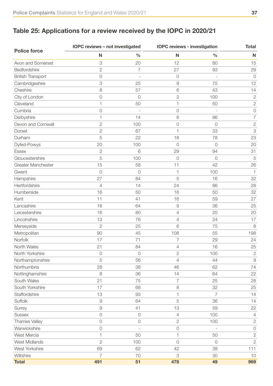# Table 25: Applications for a review received by the IOPC in 2020/21

| <b>Police force</b>      |                | IOPC reviews - not investigated | <b>IOPC reviews - investigation</b> | <b>Total</b>   |                |
|--------------------------|----------------|---------------------------------|-------------------------------------|----------------|----------------|
|                          | N              | $\frac{0}{0}$                   | N                                   | $\frac{0}{0}$  | $\mathbf N$    |
| Avon and Somerset        | 3              | 20                              | 12                                  | 80             | 15             |
| Bedfordshire             | $\mathbf{2}$   | $\overline{7}$                  | 27                                  | 93             | 29             |
| <b>British Transport</b> | $\bigcirc$     |                                 | $\circ$                             |                | $\circ$        |
| Cambridgeshire           | 3              | 25                              | $\Theta$                            | 75             | 12             |
| Cheshire                 | 8              | 57                              | 6                                   | 43             | 14             |
| City of London           | $\circ$        | $\mathcal{O}$                   | $\overline{2}$                      | 100            | $\overline{2}$ |
| Cleveland                | 1              | 50                              | $\mathbf{1}$                        | 50             | $\mathbf{2}$   |
| Cumbria                  | $\circ$        |                                 | $\circ$                             |                | $\circ$        |
| Derbyshire               |                | 14                              | 6                                   | 86             | $\overline{7}$ |
| Devon and Cornwall       | $\overline{2}$ | 100                             | $\circ$                             | $\overline{O}$ | $\overline{2}$ |
| Dorset                   | $\overline{2}$ | 67                              | $\mathbf 1$                         | 33             | 3              |
| Durham                   | 5              | 22                              | 18                                  | 78             | 23             |
| Dyfed-Powys              | 20             | 100                             | $\circ$                             | $\bigcirc$     | 20             |
| <b>Essex</b>             | $\mathbf{2}$   | 6                               | 29                                  | 94             | 31             |
| Gloucestershire          | 5              | 100                             | $\bigcirc$                          | $\circ$        | 5              |
| Greater Manchester       | 15             | 58                              | 11                                  | 42             | 26             |
| Gwent                    | $\overline{O}$ | $\circ$                         | $\mathbf 1$                         | 100            | $\mathbf{1}$   |
| Hampshire                | 27             | 84                              | 5                                   | 16             | 32             |
| Hertfordshire            | 4              | 14                              | 24                                  | 86             | 28             |
| Humberside               | 16             | 50                              | 16                                  | 50             | 32             |
| Kent                     | 11             | 41                              | 16                                  | 59             | 27             |
| Lancashire               | 16             | 64                              | $\Theta$                            | 36             | 25             |
| Leicestershire           | 16             | 80                              | $\overline{4}$                      | 20             | 20             |
| Lincolnshire             | 13             | 76                              | $\overline{4}$                      | 24             | 17             |
| Merseyside               | $\overline{2}$ | 25                              | 6                                   | 75             | 8              |
| Metropolitan             | 90             | 45                              | 108                                 | 55             | 198            |
| Norfolk                  | 17             | 71                              | $\overline{7}$                      | 29             | 24             |
| North Wales              | 21             | 84                              | 4                                   | 16             | 25             |
| North Yorkshire          | 0              | 0                               | $\mathbf{2}$                        | 100            | $\sqrt{2}$     |
| Northamptonshire         | 5              | 56                              | 4                                   | 44             | $\Theta$       |
| Northumbria              | 28             | 38                              | 46                                  | 62             | 74             |
| Nottinghamshire          | 8              | 36                              | 14                                  | 64             | 22             |
| South Wales              | 21             | 75                              | $\overline{7}$                      | 25             | 28             |
| South Yorkshire          | 17             | 68                              | $\,8\,$                             | 32             | 25             |
| Staffordshire            | 13             | 93                              | 1                                   | 7              | 14             |
| Suffolk                  | $\Theta$       | 64                              | 5                                   | 36             | 14             |
| Surrey                   | $\Theta$       | 41                              | 13                                  | 59             | 22             |
| <b>Sussex</b>            | $\bigcirc$     | $\bigcirc$                      | $\overline{4}$                      | 100            | $\overline{4}$ |
| Thames Valley            | $\overline{O}$ | $\bigcirc$                      | $\sqrt{2}$                          | 100            | $\sqrt{2}$     |
| Warwickshire             | $\overline{O}$ |                                 | $\circ$                             |                | $\circ$        |
| West Mercia              |                | 50                              | 1                                   | 50             | $\sqrt{2}$     |
| West Midlands            | $\overline{2}$ | 100                             | $\circ$                             | $\circ$        | $\mathbf 2$    |
| West Yorkshire           | 69             | 62                              | 42                                  | 38             | 111            |
| Wiltshire                | $\overline{7}$ | 70                              | 3                                   | 30             | 10             |
| <b>Total</b>             | 491            | 51                              | 478                                 | 49             | 969            |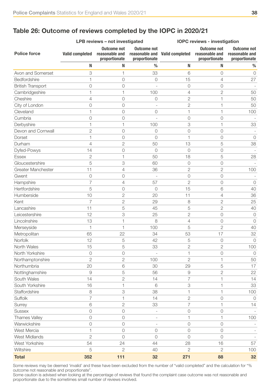#### Table 26: Outcome of reviews completed by the IOPC in 2020/21

|                           |                        | LPB reviews - not investigated                        |                                                       | <b>IOPC reviews - investigation</b> |                                                       |                                                       |
|---------------------------|------------------------|-------------------------------------------------------|-------------------------------------------------------|-------------------------------------|-------------------------------------------------------|-------------------------------------------------------|
| <b>Police force</b>       | <b>Valid completed</b> | <b>Outcome not</b><br>reasonable and<br>proportionate | <b>Outcome not</b><br>reasonable and<br>proportionate | <b>Valid completed</b>              | <b>Outcome not</b><br>reasonable and<br>proportionate | <b>Outcome not</b><br>reasonable and<br>proportionate |
|                           | N                      | N                                                     | %                                                     | N                                   | N                                                     | $\%$                                                  |
| Avon and Somerset         | 3                      | 1                                                     | 33                                                    | 6                                   | $\circ$                                               | $\circ$                                               |
| Bedfordshire              | 1                      | $\overline{O}$                                        | $\bigcirc$                                            | 15                                  | $\overline{4}$                                        | 27                                                    |
| <b>British Transport</b>  | $\Omega$               | 0                                                     |                                                       | $\circ$                             | 0                                                     |                                                       |
| Cambridgeshire            | 1                      | 1                                                     | 100                                                   | 4                                   | $\overline{2}$                                        | 50                                                    |
| Cheshire                  | 4                      | $\overline{O}$                                        | $\bigcirc$                                            | $\overline{2}$                      |                                                       | 50                                                    |
| City of London            | $\circ$                | $\bigcirc$                                            |                                                       | $\overline{2}$                      | 1                                                     | 50                                                    |
| Cleveland                 | 1                      | $\circ$                                               | 0                                                     | 1                                   | 1                                                     | 100                                                   |
| Cumbria                   | $\overline{O}$         | 0                                                     |                                                       | $\overline{O}$                      | $\overline{O}$                                        |                                                       |
| Derbyshire                | 1                      | 1                                                     | 100                                                   | 3                                   | 1                                                     | 33                                                    |
| Devon and Cornwall        | $\overline{2}$         | 0                                                     | 0                                                     | 0                                   | $\bigcirc$                                            |                                                       |
| Dorset                    |                        | $\circ$                                               | 0                                                     |                                     | $\circ$                                               | $\mathcal{O}$                                         |
| Durham                    | 4                      | $\mathbf{2}$                                          | 50                                                    | 13                                  | 5                                                     | 38                                                    |
| Dyfed-Powys               | 14                     | $\circ$                                               | $\overline{0}$                                        | $\overline{O}$                      | $\bigcirc$                                            |                                                       |
| <b>Essex</b>              | $\overline{2}$         | 1                                                     | 50                                                    | 18                                  | 5                                                     | 28                                                    |
| Gloucestershire           | 5                      | 3                                                     | 60                                                    | $\circ$                             | $\bigcirc$                                            |                                                       |
| <b>Greater Manchester</b> | 11                     | 4                                                     | 36                                                    | $\overline{2}$                      | $\overline{2}$                                        | 100                                                   |
| Gwent                     | $\circ$                | $\bigcirc$                                            |                                                       | $\bigcirc$                          | $\bigcirc$                                            |                                                       |
| Hampshire                 | 7                      | 4                                                     | 57                                                    | $\mathbf{2}$                        | $\bigcirc$                                            | $\Omega$                                              |
| Hertfordshire             | 5                      | $\circ$                                               | $\overline{0}$                                        | 15                                  | 6                                                     | 40                                                    |
| Humberside                | 10                     | $\overline{2}$                                        | 20                                                    | 11                                  | $\overline{4}$                                        | 36                                                    |
| Kent                      | 7                      | $\mathbf{2}$                                          | 29                                                    | 8                                   | $\overline{2}$                                        | 25                                                    |
| Lancashire                | 11                     | 5                                                     | 45                                                    | 5                                   | $\overline{2}$                                        | 40                                                    |
| Leicestershire            | 12                     | 3                                                     | 25                                                    | $\overline{2}$                      | $\bigcirc$                                            | $\circ$                                               |
| Lincolnshire              | 13                     | 1                                                     | 8                                                     | 4                                   | $\bigcirc$                                            | $\mathcal{O}$                                         |
| Merseyside                | $\mathbf 1$            | 1                                                     | 100                                                   | 5                                   | $\overline{2}$                                        | 40                                                    |
| Metropolitan              | 65                     | 22                                                    | 34                                                    | 53                                  | 17                                                    | 32                                                    |
| Norfolk                   | 12                     | 5                                                     | 42                                                    | 5                                   | $\bigcirc$                                            | $\bigcirc$                                            |
| North Wales               | 15                     | 5                                                     | 33                                                    | $\mathbf{2}$                        | $\sqrt{2}$                                            | 100                                                   |
| North Yorkshire           | $\circ$                | $\bigcirc$                                            |                                                       |                                     | $\circ$                                               | $\circ$                                               |
| Northamptonshire          | $\mathbf{2}$           | $\sqrt{2}$                                            | 100                                                   | $\mathbf{2}$                        | 1                                                     | 50                                                    |
| Northumbria               | 20                     | 6                                                     | 30                                                    | 29                                  | 5                                                     | 17                                                    |
| Nottinghamshire           | $\Theta$               | 5                                                     | 56                                                    | $\Theta$                            | $\mathbf 2$                                           | 22                                                    |
| South Wales               | 14                     | $\sqrt{2}$                                            | 14                                                    | 7                                   | 1                                                     | 14                                                    |
| South Yorkshire           | 16                     | 1                                                     | 6                                                     | 3                                   | 1                                                     | 33                                                    |
| Staffordshire             | 8                      | 3                                                     | 38                                                    |                                     |                                                       | 100                                                   |
| Suffolk                   | 7                      | 1                                                     | 14                                                    | $\overline{2}$                      | $\bigcirc$                                            | $\Omega$                                              |
| Surrey                    | 6                      | $\sqrt{2}$                                            | 33                                                    | $\overline{7}$                      | 1                                                     | 14                                                    |
| <b>Sussex</b>             | $\overline{O}$         | $\bigcirc$                                            | $\overline{a}$                                        | $\bigcirc$                          | $\bigcirc$                                            |                                                       |
| <b>Thames Valley</b>      | $\circ$                | $\bigcirc$                                            | $\bar{ }$                                             | 1                                   | 1                                                     | 100                                                   |
| Warwickshire              | $\circ$                | $\circ$                                               | $\overline{a}$                                        | $\circ$                             | $\bigcirc$                                            |                                                       |
| West Mercia               |                        | $\bigcirc$                                            | 0                                                     | $\bigcirc$                          | $\bigcirc$                                            |                                                       |
| <b>West Midlands</b>      | $\overline{2}$         | $\overline{O}$                                        | $\Omega$                                              | 0                                   | 0                                                     |                                                       |
| West Yorkshire            | 54                     | 24                                                    | 44                                                    | 28                                  | 16                                                    | 57                                                    |
| Wiltshire                 | 5                      | $\overline{2}$                                        | 40                                                    | $\overline{2}$                      | $\overline{2}$                                        | 100                                                   |
| <b>Total</b>              | 352                    | $111$                                                 | 32                                                    | 271                                 | 88                                                    | 32                                                    |

Some reviews may be deemed 'invalid' and these have been excluded from the number of "valid completed" and the calculation for "% outcome not reasonable and proportionate".

Some caution is advised when looking at the percentage of reviews that found the complaint case outcome was not reasonable and proportionate due to the sometimes small number of reviews involved.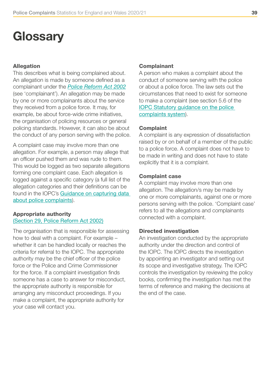# <span id="page-38-0"></span>**Glossary**

#### Allegation

This describes what is being complained about. An allegation is made by someone defined as a complainant under the *[Police Reform Act 2002](https://www.legislation.gov.uk/ukpga/2002/30/contents)* (see 'complainant'). An allegation may be made by one or more complainants about the service they received from a police force. It may, for example, be about force-wide crime initiatives, the organisation of policing resources or general policing standards. However, it can also be about the conduct of any person serving with the police.

A complaint case may involve more than one allegation. For example, a person may allege that an officer pushed them and was rude to them. This would be logged as two separate allegations forming one complaint case. Each allegation is logged against a specific category (a full list of the allegation categories and their definitions can be found in the IOPC's [Guidance on capturing data](https://www.policeconduct.gov.uk/complaints-reviews-and-appeals/statutory-guidance)  [about police complaints](https://www.policeconduct.gov.uk/complaints-reviews-and-appeals/statutory-guidance)).

#### Appropriate authority [\(Section 29, Police Reform Act 2002](https://www.legislation.gov.uk/ukpga/2002/30/contents))

The organisation that is responsible for assessing how to deal with a complaint. For example – whether it can be handled locally or reaches the criteria for referral to the IOPC. The appropriate authority may be the chief officer of the police force or the Police and Crime Commissioner for the force. If a complaint investigation finds someone has a case to answer for misconduct, the appropriate authority is responsible for arranging any misconduct proceedings. If you make a complaint, the appropriate authority for your case will contact you.

#### **Complainant**

A person who makes a complaint about the conduct of someone serving with the police or about a police force. The law sets out the circumstances that need to exist for someone to make a complaint (see section 5.6 of the [IOPC Statutory guidance on the police](https://www.policeconduct.gov.uk/sites/default/files/Documents/statutoryguidance/2020_statutory_guidance_english.pdf)  [complaints system](https://www.policeconduct.gov.uk/sites/default/files/Documents/statutoryguidance/2020_statutory_guidance_english.pdf)).

#### Complaint

A complaint is any expression of dissatisfaction raised by or on behalf of a member of the public to a police force. A complaint does not have to be made in writing and does not have to state explicitly that it is a complaint.

#### Complaint case

A complaint may involve more than one allegation. The allegation/s may be made by one or more complainants, against one or more persons serving with the police. 'Complaint case' refers to all the allegations and complainants connected with a complaint.

#### Directed investigation

An investigation conducted by the appropriate authority under the direction and control of the IOPC. The IOPC directs the investigation by appointing an investigator and setting out its scope and investigative strategy. The IOPC controls the investigation by reviewing the policy books, confirming the investigation has met the terms of reference and making the decisions at the end of the case.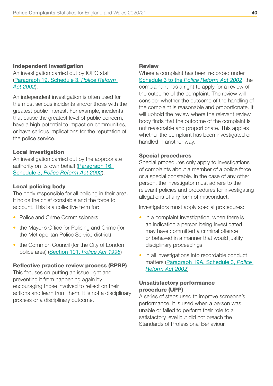#### <span id="page-39-0"></span>Independent investigation

An investigation carried out by IOPC staff ([Paragraph 19, Schedule 3,](https://www.legislation.gov.uk/ukpga/2002/30/contents) *Police Reform [Act 2002](https://www.legislation.gov.uk/ukpga/2002/30/contents)*).

An independent investigation is often used for the most serious incidents and/or those with the greatest public interest. For example, incidents that cause the greatest level of public concern, have a high potential to impact on communities, or have serious implications for the reputation of the police service.

#### Local investigation

An investigation carried out by the appropriate authority on its own behalf ([Paragraph 16,](https://www.legislation.gov.uk/ukpga/2002/30/contents)  Schedule 3, *[Police Reform Act 2002](https://www.legislation.gov.uk/ukpga/2002/30/contents)*).

#### Local policing body

The body responsible for all policing in their area. It holds the chief constable and the force to account. This is a collective term for:

- Police and Crime Commissioners
- the Mayor's Office for Policing and Crime (for the Metropolitan Police Service district)
- the Common Council (for the City of London police area) (Section 101, *[Police Act 1996](https://www.legislation.gov.uk/ukpga/1996/16/contents)*)

#### Reflective practice review process (RPRP)

This focuses on putting an issue right and preventing it from happening again by encouraging those involved to reflect on their actions and learn from them. It is not a disciplinary process or a disciplinary outcome.

#### **Review**

Where a complaint has been recorded under Schedule 3 to the *[Police Reform Act 2002](https://www.legislation.gov.uk/ukpga/2002/30/contents)*, the complainant has a right to apply for a review of the outcome of the complaint. The review will consider whether the outcome of the handling of the complaint is reasonable and proportionate. It will uphold the review where the relevant review body finds that the outcome of the complaint is not reasonable and proportionate. This applies whether the complaint has been investigated or handled in another way.

#### Special procedures

Special procedures only apply to investigations of complaints about a member of a police force or a special constable. In the case of any other person, the investigator must adhere to the relevant policies and procedures for investigating allegations of any form of misconduct.

Investigators must apply special procedures:

- in a complaint investigation, when there is an indication a person being investigated may have committed a criminal offence or behaved in a manner that would justify disciplinary proceedings
- in all investigations into recordable conduct matters ([Paragraph 19A, Schedule 3,](https://www.legislation.gov.uk/ukpga/2002/30/contents) *Police [Reform Act 2002](https://www.legislation.gov.uk/ukpga/2002/30/contents)*)

#### Unsatisfactory performance procedure (UPP)

A series of steps used to improve someone's performance. It is used when a person was unable or failed to perform their role to a satisfactory level but did not breach the Standards of Professional Behaviour.